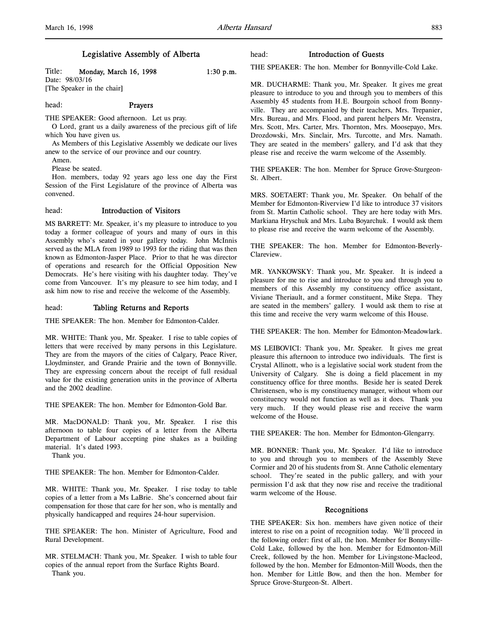# Legislative Assembly of Alberta

Title: Monday, March 16, 1998 1:30 p.m. Date: 98/03/16 [The Speaker in the chair]

head: **Prayers** 

THE SPEAKER: Good afternoon. Let us pray.

O Lord, grant us a daily awareness of the precious gift of life which You have given us.

As Members of this Legislative Assembly we dedicate our lives anew to the service of our province and our country.

Amen.

Please be seated.

Hon. members, today 92 years ago less one day the First Session of the First Legislature of the province of Alberta was convened.

## head: Introduction of Visitors

MS BARRETT: Mr. Speaker, it's my pleasure to introduce to you today a former colleague of yours and many of ours in this Assembly who's seated in your gallery today. John McInnis served as the MLA from 1989 to 1993 for the riding that was then known as Edmonton-Jasper Place. Prior to that he was director of operations and research for the Official Opposition New Democrats. He's here visiting with his daughter today. They've come from Vancouver. It's my pleasure to see him today, and I ask him now to rise and receive the welcome of the Assembly.

#### head: Tabling Returns and Reports

THE SPEAKER: The hon. Member for Edmonton-Calder.

MR. WHITE: Thank you, Mr. Speaker. I rise to table copies of letters that were received by many persons in this Legislature. They are from the mayors of the cities of Calgary, Peace River, Lloydminster, and Grande Prairie and the town of Bonnyville. They are expressing concern about the receipt of full residual value for the existing generation units in the province of Alberta and the 2002 deadline.

THE SPEAKER: The hon. Member for Edmonton-Gold Bar.

MR. MacDONALD: Thank you, Mr. Speaker. I rise this afternoon to table four copies of a letter from the Alberta Department of Labour accepting pine shakes as a building material. It's dated 1993.

Thank you.

THE SPEAKER: The hon. Member for Edmonton-Calder.

MR. WHITE: Thank you, Mr. Speaker. I rise today to table copies of a letter from a Ms LaBrie. She's concerned about fair compensation for those that care for her son, who is mentally and physically handicapped and requires 24-hour supervision.

THE SPEAKER: The hon. Minister of Agriculture, Food and Rural Development.

MR. STELMACH: Thank you, Mr. Speaker. I wish to table four copies of the annual report from the Surface Rights Board. Thank you.

#### head: Introduction of Guests

THE SPEAKER: The hon. Member for Bonnyville-Cold Lake.

MR. DUCHARME: Thank you, Mr. Speaker. It gives me great pleasure to introduce to you and through you to members of this Assembly 45 students from H.E. Bourgoin school from Bonnyville. They are accompanied by their teachers, Mrs. Trepanier, Mrs. Bureau, and Mrs. Flood, and parent helpers Mr. Veenstra, Mrs. Scott, Mrs. Carter, Mrs. Thornton, Mrs. Moosepayo, Mrs. Drozdowski, Mrs. Sinclair, Mrs. Turcotte, and Mrs. Namath. They are seated in the members' gallery, and I'd ask that they please rise and receive the warm welcome of the Assembly.

THE SPEAKER: The hon. Member for Spruce Grove-Sturgeon-St. Albert.

MRS. SOETAERT: Thank you, Mr. Speaker. On behalf of the Member for Edmonton-Riverview I'd like to introduce 37 visitors from St. Martin Catholic school. They are here today with Mrs. Markiana Hryschuk and Mrs. Luba Boyarchuk. I would ask them to please rise and receive the warm welcome of the Assembly.

THE SPEAKER: The hon. Member for Edmonton-Beverly-Clareview.

MR. YANKOWSKY: Thank you, Mr. Speaker. It is indeed a pleasure for me to rise and introduce to you and through you to members of this Assembly my constituency office assistant, Viviane Theriault, and a former constituent, Mike Stepa. They are seated in the members' gallery. I would ask them to rise at this time and receive the very warm welcome of this House.

THE SPEAKER: The hon. Member for Edmonton-Meadowlark.

MS LEIBOVICI: Thank you, Mr. Speaker. It gives me great pleasure this afternoon to introduce two individuals. The first is Crystal Allinott, who is a legislative social work student from the University of Calgary. She is doing a field placement in my constituency office for three months. Beside her is seated Derek Christensen, who is my constituency manager, without whom our constituency would not function as well as it does. Thank you very much. If they would please rise and receive the warm welcome of the House.

THE SPEAKER: The hon. Member for Edmonton-Glengarry.

MR. BONNER: Thank you, Mr. Speaker. I'd like to introduce to you and through you to members of the Assembly Steve Cormier and 20 of his students from St. Anne Catholic elementary school. They're seated in the public gallery, and with your permission I'd ask that they now rise and receive the traditional warm welcome of the House.

### Recognitions

THE SPEAKER: Six hon. members have given notice of their interest to rise on a point of recognition today. We'll proceed in the following order: first of all, the hon. Member for Bonnyville-Cold Lake, followed by the hon. Member for Edmonton-Mill Creek, followed by the hon. Member for Livingstone-Macleod, followed by the hon. Member for Edmonton-Mill Woods, then the hon. Member for Little Bow, and then the hon. Member for Spruce Grove-Sturgeon-St. Albert.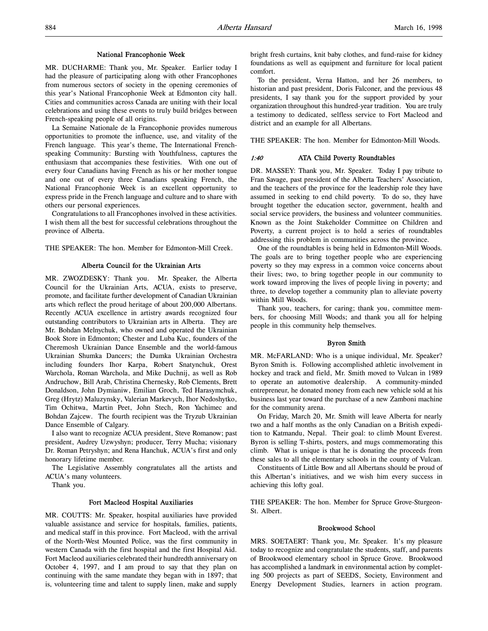#### National Francophonie Week

MR. DUCHARME: Thank you, Mr. Speaker. Earlier today I had the pleasure of participating along with other Francophones from numerous sectors of society in the opening ceremonies of this year's National Francophonie Week at Edmonton city hall. Cities and communities across Canada are uniting with their local celebrations and using these events to truly build bridges between French-speaking people of all origins.

La Semaine Nationale de la Francophonie provides numerous opportunities to promote the influence, use, and vitality of the French language. This year's theme, The International Frenchspeaking Community: Bursting with Youthfulness, captures the enthusiasm that accompanies these festivities. With one out of every four Canadians having French as his or her mother tongue and one out of every three Canadians speaking French, the National Francophonie Week is an excellent opportunity to express pride in the French language and culture and to share with others our personal experiences.

Congratulations to all Francophones involved in these activities. I wish them all the best for successful celebrations throughout the province of Alberta.

THE SPEAKER: The hon. Member for Edmonton-Mill Creek.

#### Alberta Council for the Ukrainian Arts

MR. ZWOZDESKY: Thank you. Mr. Speaker, the Alberta Council for the Ukrainian Arts, ACUA, exists to preserve, promote, and facilitate further development of Canadian Ukrainian arts which reflect the proud heritage of about 200,000 Albertans. Recently ACUA excellence in artistry awards recognized four outstanding contributors to Ukrainian arts in Alberta. They are Mr. Bohdan Melnychuk, who owned and operated the Ukrainian Book Store in Edmonton; Chester and Luba Kuc, founders of the Cheremosh Ukrainian Dance Ensemble and the world-famous Ukrainian Shumka Dancers; the Dumka Ukrainian Orchestra including founders Ihor Karpa, Robert Snatynchuk, Orest Warchola, Roman Warchola, and Mike Duchnij, as well as Rob Andruchow, Bill Arab, Christina Chernesky, Rob Clements, Brett Donaldson, John Dymianiw, Emilian Groch, Ted Harasymchuk, Greg (Hrytz) Maluzynsky, Valerian Markevych, Ihor Nedoshytko, Tim Ochitwa, Martin Peet, John Stech, Ron Yachimec and Bohdan Zajcew. The fourth recipient was the Tryzub Ukrainian Dance Ensemble of Calgary.

I also want to recognize ACUA president, Steve Romanow; past president, Audrey Uzwyshyn; producer, Terry Mucha; visionary Dr. Roman Petryshyn; and Rena Hanchuk, ACUA's first and only honorary lifetime member.

The Legislative Assembly congratulates all the artists and ACUA's many volunteers.

Thank you.

#### Fort Macleod Hospital Auxiliaries

MR. COUTTS: Mr. Speaker, hospital auxiliaries have provided valuable assistance and service for hospitals, families, patients, and medical staff in this province. Fort Macleod, with the arrival of the North-West Mounted Police, was the first community in western Canada with the first hospital and the first Hospital Aid. Fort Macleod auxiliaries celebrated their hundredth anniversary on October 4, 1997, and I am proud to say that they plan on continuing with the same mandate they began with in 1897; that is, volunteering time and talent to supply linen, make and supply

bright fresh curtains, knit baby clothes, and fund-raise for kidney foundations as well as equipment and furniture for local patient comfort.

To the president, Verna Hatton, and her 26 members, to historian and past president, Doris Falconer, and the previous 48 presidents, I say thank you for the support provided by your organization throughout this hundred-year tradition. You are truly a testimony to dedicated, selfless service to Fort Macleod and district and an example for all Albertans.

THE SPEAKER: The hon. Member for Edmonton-Mill Woods.

## 1:40 ATA Child Poverty Roundtables

DR. MASSEY: Thank you, Mr. Speaker. Today I pay tribute to Fran Savage, past president of the Alberta Teachers' Association, and the teachers of the province for the leadership role they have assumed in seeking to end child poverty. To do so, they have brought together the education sector, government, health and social service providers, the business and volunteer communities. Known as the Joint Stakeholder Committee on Children and Poverty, a current project is to hold a series of roundtables addressing this problem in communities across the province.

One of the roundtables is being held in Edmonton-Mill Woods. The goals are to bring together people who are experiencing poverty so they may express in a common voice concerns about their lives; two, to bring together people in our community to work toward improving the lives of people living in poverty; and three, to develop together a community plan to alleviate poverty within Mill Woods.

Thank you, teachers, for caring; thank you, committee members, for choosing Mill Woods; and thank you all for helping people in this community help themselves.

## Byron Smith

MR. McFARLAND: Who is a unique individual, Mr. Speaker? Byron Smith is. Following accomplished athletic involvement in hockey and track and field, Mr. Smith moved to Vulcan in 1989 to operate an automotive dealership. A community-minded entrepreneur, he donated money from each new vehicle sold at his business last year toward the purchase of a new Zamboni machine for the community arena.

On Friday, March 20, Mr. Smith will leave Alberta for nearly two and a half months as the only Canadian on a British expedition to Katmandu, Nepal. Their goal: to climb Mount Everest. Byron is selling T-shirts, posters, and mugs commemorating this climb. What is unique is that he is donating the proceeds from these sales to all the elementary schools in the county of Vulcan.

Constituents of Little Bow and all Albertans should be proud of this Albertan's initiatives, and we wish him every success in achieving this lofty goal.

THE SPEAKER: The hon. Member for Spruce Grove-Sturgeon-St. Albert.

## Brookwood School

MRS. SOETAERT: Thank you, Mr. Speaker. It's my pleasure today to recognize and congratulate the students, staff, and parents of Brookwood elementary school in Spruce Grove. Brookwood has accomplished a landmark in environmental action by completing 500 projects as part of SEEDS, Society, Environment and Energy Development Studies, learners in action program.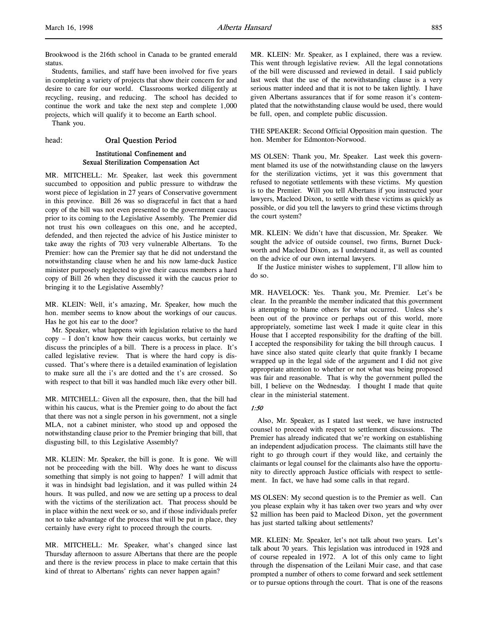Brookwood is the 216th school in Canada to be granted emerald status.

Students, families, and staff have been involved for five years in completing a variety of projects that show their concern for and desire to care for our world. Classrooms worked diligently at recycling, reusing, and reducing. The school has decided to continue the work and take the next step and complete 1,000 projects, which will qualify it to become an Earth school.

Thank you.

#### head: Oral Question Period

## Institutional Confinement and Sexual Sterilization Compensation Act

MR. MITCHELL: Mr. Speaker, last week this government succumbed to opposition and public pressure to withdraw the worst piece of legislation in 27 years of Conservative government in this province. Bill 26 was so disgraceful in fact that a hard copy of the bill was not even presented to the government caucus prior to its coming to the Legislative Assembly. The Premier did not trust his own colleagues on this one, and he accepted, defended, and then rejected the advice of his Justice minister to take away the rights of 703 very vulnerable Albertans. To the Premier: how can the Premier say that he did not understand the notwithstanding clause when he and his now lame-duck Justice minister purposely neglected to give their caucus members a hard copy of Bill 26 when they discussed it with the caucus prior to bringing it to the Legislative Assembly?

MR. KLEIN: Well, it's amazing, Mr. Speaker, how much the hon. member seems to know about the workings of our caucus. Has he got his ear to the door?

Mr. Speaker, what happens with legislation relative to the hard copy – I don't know how their caucus works, but certainly we discuss the principles of a bill. There is a process in place. It's called legislative review. That is where the hard copy is discussed. That's where there is a detailed examination of legislation to make sure all the i's are dotted and the t's are crossed. So with respect to that bill it was handled much like every other bill.

MR. MITCHELL: Given all the exposure, then, that the bill had within his caucus, what is the Premier going to do about the fact that there was not a single person in his government, not a single MLA, not a cabinet minister, who stood up and opposed the notwithstanding clause prior to the Premier bringing that bill, that disgusting bill, to this Legislative Assembly?

MR. KLEIN: Mr. Speaker, the bill is gone. It is gone. We will not be proceeding with the bill. Why does he want to discuss something that simply is not going to happen? I will admit that it was in hindsight bad legislation, and it was pulled within 24 hours. It was pulled, and now we are setting up a process to deal with the victims of the sterilization act. That process should be in place within the next week or so, and if those individuals prefer not to take advantage of the process that will be put in place, they certainly have every right to proceed through the courts.

MR. MITCHELL: Mr. Speaker, what's changed since last Thursday afternoon to assure Albertans that there are the people and there is the review process in place to make certain that this kind of threat to Albertans' rights can never happen again?

MR. KLEIN: Mr. Speaker, as I explained, there was a review. This went through legislative review. All the legal connotations of the bill were discussed and reviewed in detail. I said publicly last week that the use of the notwithstanding clause is a very serious matter indeed and that it is not to be taken lightly. I have given Albertans assurances that if for some reason it's contemplated that the notwithstanding clause would be used, there would be full, open, and complete public discussion.

THE SPEAKER: Second Official Opposition main question. The hon. Member for Edmonton-Norwood.

MS OLSEN: Thank you, Mr. Speaker. Last week this government blamed its use of the notwithstanding clause on the lawyers for the sterilization victims, yet it was this government that refused to negotiate settlements with these victims. My question is to the Premier. Will you tell Albertans if you instructed your lawyers, Macleod Dixon, to settle with these victims as quickly as possible, or did you tell the lawyers to grind these victims through the court system?

MR. KLEIN: We didn't have that discussion, Mr. Speaker. We sought the advice of outside counsel, two firms, Burnet Duckworth and Macleod Dixon, as I understand it, as well as counted on the advice of our own internal lawyers.

If the Justice minister wishes to supplement, I'll allow him to do so.

MR. HAVELOCK: Yes. Thank you, Mr. Premier. Let's be clear. In the preamble the member indicated that this government is attempting to blame others for what occurred. Unless she's been out of the province or perhaps out of this world, more appropriately, sometime last week I made it quite clear in this House that I accepted responsibility for the drafting of the bill. I accepted the responsibility for taking the bill through caucus. I have since also stated quite clearly that quite frankly I became wrapped up in the legal side of the argument and I did not give appropriate attention to whether or not what was being proposed was fair and reasonable. That is why the government pulled the bill, I believe on the Wednesday. I thought I made that quite clear in the ministerial statement.

## 1:50

Also, Mr. Speaker, as I stated last week, we have instructed counsel to proceed with respect to settlement discussions. The Premier has already indicated that we're working on establishing an independent adjudication process. The claimants still have the right to go through court if they would like, and certainly the claimants or legal counsel for the claimants also have the opportunity to directly approach Justice officials with respect to settlement. In fact, we have had some calls in that regard.

MS OLSEN: My second question is to the Premier as well. Can you please explain why it has taken over two years and why over \$2 million has been paid to Macleod Dixon, yet the government has just started talking about settlements?

MR. KLEIN: Mr. Speaker, let's not talk about two years. Let's talk about 70 years. This legislation was introduced in 1928 and of course repealed in 1972. A lot of this only came to light through the dispensation of the Leilani Muir case, and that case prompted a number of others to come forward and seek settlement or to pursue options through the court. That is one of the reasons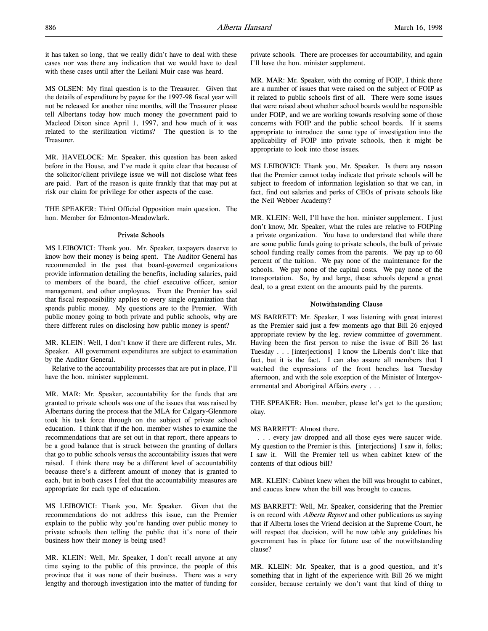it has taken so long, that we really didn't have to deal with these cases nor was there any indication that we would have to deal with these cases until after the Leilani Muir case was heard.

MS OLSEN: My final question is to the Treasurer. Given that the details of expenditure by payee for the 1997-98 fiscal year will not be released for another nine months, will the Treasurer please tell Albertans today how much money the government paid to Macleod Dixon since April 1, 1997, and how much of it was related to the sterilization victims? The question is to the Treasurer.

MR. HAVELOCK: Mr. Speaker, this question has been asked before in the House, and I've made it quite clear that because of the solicitor/client privilege issue we will not disclose what fees are paid. Part of the reason is quite frankly that that may put at risk our claim for privilege for other aspects of the case.

THE SPEAKER: Third Official Opposition main question. The hon. Member for Edmonton-Meadowlark.

#### Private Schools

MS LEIBOVICI: Thank you. Mr. Speaker, taxpayers deserve to know how their money is being spent. The Auditor General has recommended in the past that board-governed organizations provide information detailing the benefits, including salaries, paid to members of the board, the chief executive officer, senior management, and other employees. Even the Premier has said that fiscal responsibility applies to every single organization that spends public money. My questions are to the Premier. With public money going to both private and public schools, why are there different rules on disclosing how public money is spent?

MR. KLEIN: Well, I don't know if there are different rules, Mr. Speaker. All government expenditures are subject to examination by the Auditor General.

Relative to the accountability processes that are put in place, I'll have the hon. minister supplement.

MR. MAR: Mr. Speaker, accountability for the funds that are granted to private schools was one of the issues that was raised by Albertans during the process that the MLA for Calgary-Glenmore took his task force through on the subject of private school education. I think that if the hon. member wishes to examine the recommendations that are set out in that report, there appears to be a good balance that is struck between the granting of dollars that go to public schools versus the accountability issues that were raised. I think there may be a different level of accountability because there's a different amount of money that is granted to each, but in both cases I feel that the accountability measures are appropriate for each type of education.

MS LEIBOVICI: Thank you, Mr. Speaker. Given that the recommendations do not address this issue, can the Premier explain to the public why you're handing over public money to private schools then telling the public that it's none of their business how their money is being used?

MR. KLEIN: Well, Mr. Speaker, I don't recall anyone at any time saying to the public of this province, the people of this province that it was none of their business. There was a very lengthy and thorough investigation into the matter of funding for private schools. There are processes for accountability, and again I'll have the hon. minister supplement.

MR. MAR: Mr. Speaker, with the coming of FOIP, I think there are a number of issues that were raised on the subject of FOIP as it related to public schools first of all. There were some issues that were raised about whether school boards would be responsible under FOIP, and we are working towards resolving some of those concerns with FOIP and the public school boards. If it seems appropriate to introduce the same type of investigation into the applicability of FOIP into private schools, then it might be appropriate to look into those issues.

MS LEIBOVICI: Thank you, Mr. Speaker. Is there any reason that the Premier cannot today indicate that private schools will be subject to freedom of information legislation so that we can, in fact, find out salaries and perks of CEOs of private schools like the Neil Webber Academy?

MR. KLEIN: Well, I'll have the hon. minister supplement. I just don't know, Mr. Speaker, what the rules are relative to FOIPing a private organization. You have to understand that while there are some public funds going to private schools, the bulk of private school funding really comes from the parents. We pay up to 60 percent of the tuition. We pay none of the maintenance for the schools. We pay none of the capital costs. We pay none of the transportation. So, by and large, these schools depend a great deal, to a great extent on the amounts paid by the parents.

#### Notwithstanding Clause

MS BARRETT: Mr. Speaker, I was listening with great interest as the Premier said just a few moments ago that Bill 26 enjoyed appropriate review by the leg. review committee of government. Having been the first person to raise the issue of Bill 26 last Tuesday . . . [interjections] I know the Liberals don't like that fact, but it is the fact. I can also assure all members that I watched the expressions of the front benches last Tuesday afternoon, and with the sole exception of the Minister of Intergovernmental and Aboriginal Affairs every . . .

THE SPEAKER: Hon. member, please let's get to the question; okay.

#### MS BARRETT: Almost there.

. . . every jaw dropped and all those eyes were saucer wide. My question to the Premier is this. [interjections] I saw it, folks; I saw it. Will the Premier tell us when cabinet knew of the contents of that odious bill?

MR. KLEIN: Cabinet knew when the bill was brought to cabinet, and caucus knew when the bill was brought to caucus.

MS BARRETT: Well, Mr. Speaker, considering that the Premier is on record with *Alberta Report* and other publications as saying that if Alberta loses the Vriend decision at the Supreme Court, he will respect that decision, will he now table any guidelines his government has in place for future use of the notwithstanding clause?

MR. KLEIN: Mr. Speaker, that is a good question, and it's something that in light of the experience with Bill 26 we might consider, because certainly we don't want that kind of thing to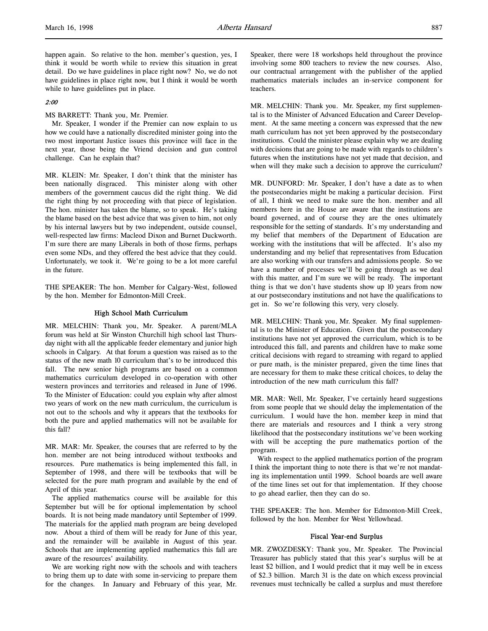happen again. So relative to the hon. member's question, yes, I think it would be worth while to review this situation in great detail. Do we have guidelines in place right now? No, we do not have guidelines in place right now, but I think it would be worth while to have guidelines put in place.

#### 2:00

MS BARRETT: Thank you, Mr. Premier.

Mr. Speaker, I wonder if the Premier can now explain to us how we could have a nationally discredited minister going into the two most important Justice issues this province will face in the next year, those being the Vriend decision and gun control challenge. Can he explain that?

MR. KLEIN: Mr. Speaker, I don't think that the minister has been nationally disgraced. This minister along with other members of the government caucus did the right thing. We did the right thing by not proceeding with that piece of legislation. The hon. minister has taken the blame, so to speak. He's taking the blame based on the best advice that was given to him, not only by his internal lawyers but by two independent, outside counsel, well-respected law firms: Macleod Dixon and Burnet Duckworth. I'm sure there are many Liberals in both of those firms, perhaps even some NDs, and they offered the best advice that they could. Unfortunately, we took it. We're going to be a lot more careful in the future.

THE SPEAKER: The hon. Member for Calgary-West, followed by the hon. Member for Edmonton-Mill Creek.

#### High School Math Curriculum

MR. MELCHIN: Thank you, Mr. Speaker. A parent/MLA forum was held at Sir Winston Churchill high school last Thursday night with all the applicable feeder elementary and junior high schools in Calgary. At that forum a question was raised as to the status of the new math 10 curriculum that's to be introduced this fall. The new senior high programs are based on a common mathematics curriculum developed in co-operation with other western provinces and territories and released in June of 1996. To the Minister of Education: could you explain why after almost two years of work on the new math curriculum, the curriculum is not out to the schools and why it appears that the textbooks for both the pure and applied mathematics will not be available for this fall?

MR. MAR: Mr. Speaker, the courses that are referred to by the hon. member are not being introduced without textbooks and resources. Pure mathematics is being implemented this fall, in September of 1998, and there will be textbooks that will be selected for the pure math program and available by the end of April of this year.

The applied mathematics course will be available for this September but will be for optional implementation by school boards. It is not being made mandatory until September of 1999. The materials for the applied math program are being developed now. About a third of them will be ready for June of this year, and the remainder will be available in August of this year. Schools that are implementing applied mathematics this fall are aware of the resources' availability.

We are working right now with the schools and with teachers to bring them up to date with some in-servicing to prepare them for the changes. In January and February of this year, Mr.

Speaker, there were 18 workshops held throughout the province involving some 800 teachers to review the new courses. Also, our contractual arrangement with the publisher of the applied mathematics materials includes an in-service component for teachers.

MR. MELCHIN: Thank you. Mr. Speaker, my first supplemental is to the Minister of Advanced Education and Career Development. At the same meeting a concern was expressed that the new math curriculum has not yet been approved by the postsecondary institutions. Could the minister please explain why we are dealing with decisions that are going to be made with regards to children's futures when the institutions have not yet made that decision, and when will they make such a decision to approve the curriculum?

MR. DUNFORD: Mr. Speaker, I don't have a date as to when the postsecondaries might be making a particular decision. First of all, I think we need to make sure the hon. member and all members here in the House are aware that the institutions are board governed, and of course they are the ones ultimately responsible for the setting of standards. It's my understanding and my belief that members of the Department of Education are working with the institutions that will be affected. It's also my understanding and my belief that representatives from Education are also working with our transfers and admissions people. So we have a number of processes we'll be going through as we deal with this matter, and I'm sure we will be ready. The important thing is that we don't have students show up 10 years from now at our postsecondary institutions and not have the qualifications to get in. So we're following this very, very closely.

MR. MELCHIN: Thank you, Mr. Speaker. My final supplemental is to the Minister of Education. Given that the postsecondary institutions have not yet approved the curriculum, which is to be introduced this fall, and parents and children have to make some critical decisions with regard to streaming with regard to applied or pure math, is the minister prepared, given the time lines that are necessary for them to make these critical choices, to delay the introduction of the new math curriculum this fall?

MR. MAR: Well, Mr. Speaker, I've certainly heard suggestions from some people that we should delay the implementation of the curriculum. I would have the hon. member keep in mind that there are materials and resources and I think a very strong likelihood that the postsecondary institutions we've been working with will be accepting the pure mathematics portion of the program.

With respect to the applied mathematics portion of the program I think the important thing to note there is that we're not mandating its implementation until 1999. School boards are well aware of the time lines set out for that implementation. If they choose to go ahead earlier, then they can do so.

THE SPEAKER: The hon. Member for Edmonton-Mill Creek, followed by the hon. Member for West Yellowhead.

## Fiscal Year-end Surplus

MR. ZWOZDESKY: Thank you, Mr. Speaker. The Provincial Treasurer has publicly stated that this year's surplus will be at least \$2 billion, and I would predict that it may well be in excess of \$2.3 billion. March 31 is the date on which excess provincial revenues must technically be called a surplus and must therefore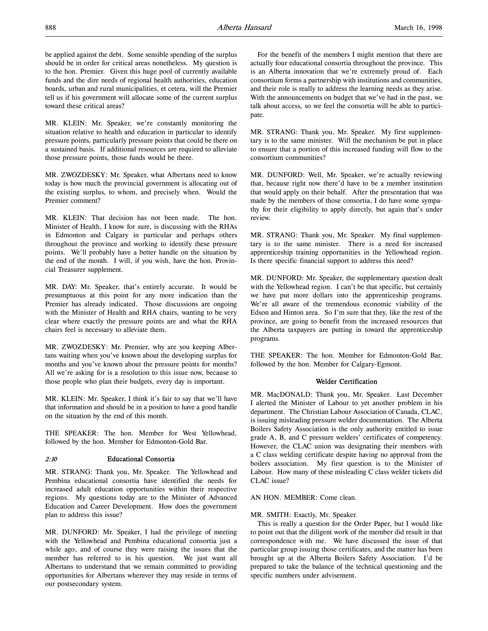be applied against the debt. Some sensible spending of the surplus should be in order for critical areas nonetheless. My question is to the hon. Premier. Given this huge pool of currently available funds and the dire needs of regional health authorities, education boards, urban and rural municipalities, et cetera, will the Premier tell us if his government will allocate some of the current surplus toward these critical areas?

MR. KLEIN: Mr. Speaker, we're constantly monitoring the situation relative to health and education in particular to identify pressure points, particularly pressure points that could be there on a sustained basis. If additional resources are required to alleviate those pressure points, those funds would be there.

MR. ZWOZDESKY: Mr. Speaker, what Albertans need to know today is how much the provincial government is allocating out of the existing surplus, to whom, and precisely when. Would the Premier comment?

MR. KLEIN: That decision has not been made. The hon. Minister of Health, I know for sure, is discussing with the RHAs in Edmonton and Calgary in particular and perhaps others throughout the province and working to identify these pressure points. We'll probably have a better handle on the situation by the end of the month. I will, if you wish, have the hon. Provincial Treasurer supplement.

MR. DAY: Mr. Speaker, that's entirely accurate. It would be presumptuous at this point for any more indication than the Premier has already indicated. Those discussions are ongoing with the Minister of Health and RHA chairs, wanting to be very clear where exactly the pressure points are and what the RHA chairs feel is necessary to alleviate them.

MR. ZWOZDESKY: Mr. Premier, why are you keeping Albertans waiting when you've known about the developing surplus for months and you've known about the pressure points for months? All we're asking for is a resolution to this issue now, because to those people who plan their budgets, every day is important.

MR. KLEIN: Mr. Speaker, I think it's fair to say that we'll have that information and should be in a position to have a good handle on the situation by the end of this month.

THE SPEAKER: The hon. Member for West Yellowhead, followed by the hon. Member for Edmonton-Gold Bar.

## 2:10 Educational Consortia

MR. STRANG: Thank you, Mr. Speaker. The Yellowhead and Pembina educational consortia have identified the needs for increased adult education opportunities within their respective regions. My questions today are to the Minister of Advanced Education and Career Development. How does the government plan to address this issue?

MR. DUNFORD: Mr. Speaker, I had the privilege of meeting with the Yellowhead and Pembina educational consortia just a while ago, and of course they were raising the issues that the member has referred to in his question. We just want all Albertans to understand that we remain committed to providing opportunities for Albertans wherever they may reside in terms of our postsecondary system.

For the benefit of the members I might mention that there are actually four educational consortia throughout the province. This is an Alberta innovation that we're extremely proud of. Each consortium forms a partnership with institutions and communities, and their role is really to address the learning needs as they arise. With the announcements on budget that we've had in the past, we talk about access, so we feel the consortia will be able to participate.

MR. STRANG: Thank you, Mr. Speaker. My first supplementary is to the same minister. Will the mechanism be put in place to ensure that a portion of this increased funding will flow to the consortium communities?

MR. DUNFORD: Well, Mr. Speaker, we're actually reviewing that, because right now there'd have to be a member institution that would apply on their behalf. After the presentation that was made by the members of those consortia, I do have some sympathy for their eligibility to apply directly, but again that's under review.

MR. STRANG: Thank you, Mr. Speaker. My final supplementary is to the same minister. There is a need for increased apprenticeship training opportunities in the Yellowhead region. Is there specific financial support to address this need?

MR. DUNFORD: Mr. Speaker, the supplementary question dealt with the Yellowhead region. I can't be that specific, but certainly we have put more dollars into the apprenticeship programs. We're all aware of the tremendous economic viability of the Edson and Hinton area. So I'm sure that they, like the rest of the province, are going to benefit from the increased resources that the Alberta taxpayers are putting in toward the apprenticeship programs.

THE SPEAKER: The hon. Member for Edmonton-Gold Bar, followed by the hon. Member for Calgary-Egmont.

## Welder Certification

MR. MacDONALD: Thank you, Mr. Speaker. Last December I alerted the Minister of Labour to yet another problem in his department. The Christian Labour Association of Canada, CLAC, is issuing misleading pressure welder documentation. The Alberta Boilers Safety Association is the only authority entitled to issue grade A, B, and C pressure welders' certificates of competency. However, the CLAC union was designating their members with a C class welding certificate despite having no approval from the boilers association. My first question is to the Minister of Labour. How many of these misleading C class welder tickets did CLAC issue?

#### AN HON. MEMBER: Come clean.

## MR. SMITH: Exactly, Mr. Speaker.

This is really a question for the Order Paper, but I would like to point out that the diligent work of the member did result in that correspondence with me. We have discussed the issue of that particular group issuing those certificates, and the matter has been brought up at the Alberta Boilers Safety Association. I'd be prepared to take the balance of the technical questioning and the specific numbers under advisement.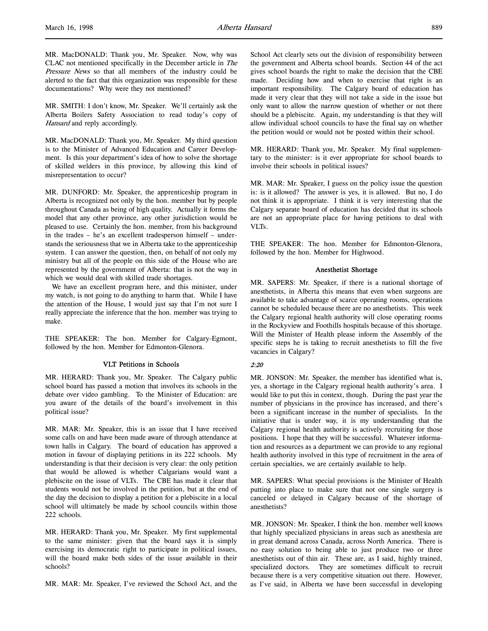MR. MacDONALD: Thank you, Mr. Speaker. Now, why was CLAC not mentioned specifically in the December article in The Pressure News so that all members of the industry could be alerted to the fact that this organization was responsible for these documentations? Why were they not mentioned?

MR. SMITH: I don't know, Mr. Speaker. We'll certainly ask the Alberta Boilers Safety Association to read today's copy of Hansard and reply accordingly.

MR. MacDONALD: Thank you, Mr. Speaker. My third question is to the Minister of Advanced Education and Career Development. Is this your department's idea of how to solve the shortage of skilled welders in this province, by allowing this kind of misrepresentation to occur?

MR. DUNFORD: Mr. Speaker, the apprenticeship program in Alberta is recognized not only by the hon. member but by people throughout Canada as being of high quality. Actually it forms the model that any other province, any other jurisdiction would be pleased to use. Certainly the hon. member, from his background in the trades – he's an excellent tradesperson himself – understands the seriousness that we in Alberta take to the apprenticeship system. I can answer the question, then, on behalf of not only my ministry but all of the people on this side of the House who are represented by the government of Alberta: that is not the way in which we would deal with skilled trade shortages.

We have an excellent program here, and this minister, under my watch, is not going to do anything to harm that. While I have the attention of the House, I would just say that I'm not sure I really appreciate the inference that the hon. member was trying to make.

THE SPEAKER: The hon. Member for Calgary-Egmont, followed by the hon. Member for Edmonton-Glenora.

#### VLT Petitions in Schools

MR. HERARD: Thank you, Mr. Speaker. The Calgary public school board has passed a motion that involves its schools in the debate over video gambling. To the Minister of Education: are you aware of the details of the board's involvement in this political issue?

MR. MAR: Mr. Speaker, this is an issue that I have received some calls on and have been made aware of through attendance at town halls in Calgary. The board of education has approved a motion in favour of displaying petitions in its 222 schools. My understanding is that their decision is very clear: the only petition that would be allowed is whether Calgarians would want a plebiscite on the issue of VLTs. The CBE has made it clear that students would not be involved in the petition, but at the end of the day the decision to display a petition for a plebiscite in a local school will ultimately be made by school councils within those 222 schools.

MR. HERARD: Thank you, Mr. Speaker. My first supplemental to the same minister: given that the board says it is simply exercising its democratic right to participate in political issues, will the board make both sides of the issue available in their schools?

MR. MAR: Mr. Speaker, I've reviewed the School Act, and the

School Act clearly sets out the division of responsibility between the government and Alberta school boards. Section 44 of the act gives school boards the right to make the decision that the CBE made. Deciding how and when to exercise that right is an important responsibility. The Calgary board of education has made it very clear that they will not take a side in the issue but only want to allow the narrow question of whether or not there should be a plebiscite. Again, my understanding is that they will allow individual school councils to have the final say on whether the petition would or would not be posted within their school.

MR. HERARD: Thank you, Mr. Speaker. My final supplementary to the minister: is it ever appropriate for school boards to involve their schools in political issues?

MR. MAR: Mr. Speaker, I guess on the policy issue the question is: is it allowed? The answer is yes, it is allowed. But no, I do not think it is appropriate. I think it is very interesting that the Calgary separate board of education has decided that its schools are not an appropriate place for having petitions to deal with VLTs.

THE SPEAKER: The hon. Member for Edmonton-Glenora, followed by the hon. Member for Highwood.

#### Anesthetist Shortage

MR. SAPERS: Mr. Speaker, if there is a national shortage of anesthetists, in Alberta this means that even when surgeons are available to take advantage of scarce operating rooms, operations cannot be scheduled because there are no anesthetists. This week the Calgary regional health authority will close operating rooms in the Rockyview and Foothills hospitals because of this shortage. Will the Minister of Health please inform the Assembly of the specific steps he is taking to recruit anesthetists to fill the five vacancies in Calgary?

## 2:20

MR. JONSON: Mr. Speaker, the member has identified what is, yes, a shortage in the Calgary regional health authority's area. I would like to put this in context, though. During the past year the number of physicians in the province has increased, and there's been a significant increase in the number of specialists. In the initiative that is under way, it is my understanding that the Calgary regional health authority is actively recruiting for those positions. I hope that they will be successful. Whatever information and resources as a department we can provide to any regional health authority involved in this type of recruitment in the area of certain specialties, we are certainly available to help.

MR. SAPERS: What special provisions is the Minister of Health putting into place to make sure that not one single surgery is canceled or delayed in Calgary because of the shortage of anesthetists?

MR. JONSON: Mr. Speaker, I think the hon. member well knows that highly specialized physicians in areas such as anesthesia are in great demand across Canada, across North America. There is no easy solution to being able to just produce two or three anesthetists out of thin air. These are, as I said, highly trained, specialized doctors. They are sometimes difficult to recruit because there is a very competitive situation out there. However, as I've said, in Alberta we have been successful in developing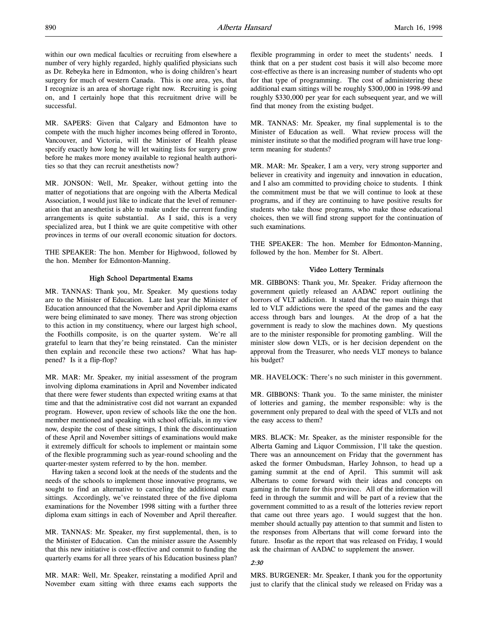within our own medical faculties or recruiting from elsewhere a number of very highly regarded, highly qualified physicians such as Dr. Rebeyka here in Edmonton, who is doing children's heart surgery for much of western Canada. This is one area, yes, that I recognize is an area of shortage right now. Recruiting is going on, and I certainly hope that this recruitment drive will be successful.

MR. SAPERS: Given that Calgary and Edmonton have to compete with the much higher incomes being offered in Toronto, Vancouver, and Victoria, will the Minister of Health please specify exactly how long he will let waiting lists for surgery grow before he makes more money available to regional health authorities so that they can recruit anesthetists now?

MR. JONSON: Well, Mr. Speaker, without getting into the matter of negotiations that are ongoing with the Alberta Medical Association, I would just like to indicate that the level of remuneration that an anesthetist is able to make under the current funding arrangements is quite substantial. As I said, this is a very specialized area, but I think we are quite competitive with other provinces in terms of our overall economic situation for doctors.

THE SPEAKER: The hon. Member for Highwood, followed by the hon. Member for Edmonton-Manning.

## High School Departmental Exams

MR. TANNAS: Thank you, Mr. Speaker. My questions today are to the Minister of Education. Late last year the Minister of Education announced that the November and April diploma exams were being eliminated to save money. There was strong objection to this action in my constituency, where our largest high school, the Foothills composite, is on the quarter system. We're all grateful to learn that they're being reinstated. Can the minister then explain and reconcile these two actions? What has happened? Is it a flip-flop?

MR. MAR: Mr. Speaker, my initial assessment of the program involving diploma examinations in April and November indicated that there were fewer students than expected writing exams at that time and that the administrative cost did not warrant an expanded program. However, upon review of schools like the one the hon. member mentioned and speaking with school officials, in my view now, despite the cost of these sittings, I think the discontinuation of these April and November sittings of examinations would make it extremely difficult for schools to implement or maintain some of the flexible programming such as year-round schooling and the quarter-mester system referred to by the hon. member.

Having taken a second look at the needs of the students and the needs of the schools to implement those innovative programs, we sought to find an alternative to canceling the additional exam sittings. Accordingly, we've reinstated three of the five diploma examinations for the November 1998 sitting with a further three diploma exam sittings in each of November and April thereafter.

MR. TANNAS: Mr. Speaker, my first supplemental, then, is to the Minister of Education. Can the minister assure the Assembly that this new initiative is cost-effective and commit to funding the quarterly exams for all three years of his Education business plan?

MR. MAR: Well, Mr. Speaker, reinstating a modified April and November exam sitting with three exams each supports the flexible programming in order to meet the students' needs. I think that on a per student cost basis it will also become more cost-effective as there is an increasing number of students who opt for that type of programming. The cost of administering these additional exam sittings will be roughly \$300,000 in 1998-99 and roughly \$330,000 per year for each subsequent year, and we will find that money from the existing budget.

MR. TANNAS: Mr. Speaker, my final supplemental is to the Minister of Education as well. What review process will the minister institute so that the modified program will have true longterm meaning for students?

MR. MAR: Mr. Speaker, I am a very, very strong supporter and believer in creativity and ingenuity and innovation in education, and I also am committed to providing choice to students. I think the commitment must be that we will continue to look at these programs, and if they are continuing to have positive results for students who take those programs, who make those educational choices, then we will find strong support for the continuation of such examinations.

THE SPEAKER: The hon. Member for Edmonton-Manning, followed by the hon. Member for St. Albert.

#### Video Lottery Terminals

MR. GIBBONS: Thank you, Mr. Speaker. Friday afternoon the government quietly released an AADAC report outlining the horrors of VLT addiction. It stated that the two main things that led to VLT addictions were the speed of the games and the easy access through bars and lounges. At the drop of a hat the government is ready to slow the machines down. My questions are to the minister responsible for promoting gambling. Will the minister slow down VLTs, or is her decision dependent on the approval from the Treasurer, who needs VLT moneys to balance his budget?

MR. HAVELOCK: There's no such minister in this government.

MR. GIBBONS: Thank you. To the same minister, the minister of lotteries and gaming, the member responsible: why is the government only prepared to deal with the speed of VLTs and not the easy access to them?

MRS. BLACK: Mr. Speaker, as the minister responsible for the Alberta Gaming and Liquor Commission, I'll take the question. There was an announcement on Friday that the government has asked the former Ombudsman, Harley Johnson, to head up a gaming summit at the end of April. This summit will ask Albertans to come forward with their ideas and concepts on gaming in the future for this province. All of the information will feed in through the summit and will be part of a review that the government committed to as a result of the lotteries review report that came out three years ago. I would suggest that the hon. member should actually pay attention to that summit and listen to the responses from Albertans that will come forward into the future. Insofar as the report that was released on Friday, I would ask the chairman of AADAC to supplement the answer.

#### 2:30

MRS. BURGENER: Mr. Speaker, I thank you for the opportunity just to clarify that the clinical study we released on Friday was a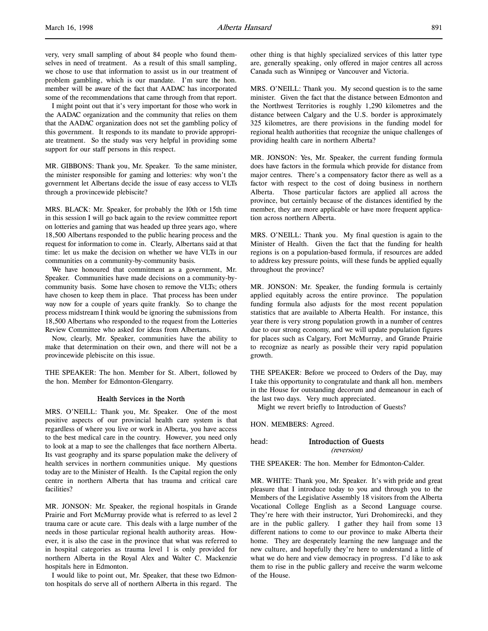very, very small sampling of about 84 people who found themselves in need of treatment. As a result of this small sampling, we chose to use that information to assist us in our treatment of problem gambling, which is our mandate. I'm sure the hon. member will be aware of the fact that AADAC has incorporated some of the recommendations that came through from that report.

I might point out that it's very important for those who work in the AADAC organization and the community that relies on them that the AADAC organization does not set the gambling policy of this government. It responds to its mandate to provide appropriate treatment. So the study was very helpful in providing some support for our staff persons in this respect.

MR. GIBBONS: Thank you, Mr. Speaker. To the same minister, the minister responsible for gaming and lotteries: why won't the government let Albertans decide the issue of easy access to VLTs through a provincewide plebiscite?

MRS. BLACK: Mr. Speaker, for probably the 10th or 15th time in this session I will go back again to the review committee report on lotteries and gaming that was headed up three years ago, where 18,500 Albertans responded to the public hearing process and the request for information to come in. Clearly, Albertans said at that time: let us make the decision on whether we have VLTs in our communities on a community-by-community basis.

We have honoured that commitment as a government, Mr. Speaker. Communities have made decisions on a community-bycommunity basis. Some have chosen to remove the VLTs; others have chosen to keep them in place. That process has been under way now for a couple of years quite frankly. So to change the process midstream I think would be ignoring the submissions from 18,500 Albertans who responded to the request from the Lotteries Review Committee who asked for ideas from Albertans.

Now, clearly, Mr. Speaker, communities have the ability to make that determination on their own, and there will not be a provincewide plebiscite on this issue.

THE SPEAKER: The hon. Member for St. Albert, followed by the hon. Member for Edmonton-Glengarry.

#### Health Services in the North

MRS. O'NEILL: Thank you, Mr. Speaker. One of the most positive aspects of our provincial health care system is that regardless of where you live or work in Alberta, you have access to the best medical care in the country. However, you need only to look at a map to see the challenges that face northern Alberta. Its vast geography and its sparse population make the delivery of health services in northern communities unique. My questions today are to the Minister of Health. Is the Capital region the only centre in northern Alberta that has trauma and critical care facilities?

MR. JONSON: Mr. Speaker, the regional hospitals in Grande Prairie and Fort McMurray provide what is referred to as level 2 trauma care or acute care. This deals with a large number of the needs in those particular regional health authority areas. However, it is also the case in the province that what was referred to in hospital categories as trauma level 1 is only provided for northern Alberta in the Royal Alex and Walter C. Mackenzie hospitals here in Edmonton.

I would like to point out, Mr. Speaker, that these two Edmonton hospitals do serve all of northern Alberta in this regard. The other thing is that highly specialized services of this latter type are, generally speaking, only offered in major centres all across Canada such as Winnipeg or Vancouver and Victoria.

MRS. O'NEILL: Thank you. My second question is to the same minister. Given the fact that the distance between Edmonton and the Northwest Territories is roughly 1,290 kilometres and the distance between Calgary and the U.S. border is approximately 325 kilometres, are there provisions in the funding model for regional health authorities that recognize the unique challenges of providing health care in northern Alberta?

MR. JONSON: Yes, Mr. Speaker, the current funding formula does have factors in the formula which provide for distance from major centres. There's a compensatory factor there as well as a factor with respect to the cost of doing business in northern Alberta. Those particular factors are applied all across the province, but certainly because of the distances identified by the member, they are more applicable or have more frequent application across northern Alberta.

MRS. O'NEILL: Thank you. My final question is again to the Minister of Health. Given the fact that the funding for health regions is on a population-based formula, if resources are added to address key pressure points, will these funds be applied equally throughout the province?

MR. JONSON: Mr. Speaker, the funding formula is certainly applied equitably across the entire province. The population funding formula also adjusts for the most recent population statistics that are available to Alberta Health. For instance, this year there is very strong population growth in a number of centres due to our strong economy, and we will update population figures for places such as Calgary, Fort McMurray, and Grande Prairie to recognize as nearly as possible their very rapid population growth.

THE SPEAKER: Before we proceed to Orders of the Day, may I take this opportunity to congratulate and thank all hon. members in the House for outstanding decorum and demeanour in each of the last two days. Very much appreciated.

Might we revert briefly to Introduction of Guests?

HON. MEMBERS: Agreed.

head: Introduction of Guests

(reversion)

THE SPEAKER: The hon. Member for Edmonton-Calder.

MR. WHITE: Thank you, Mr. Speaker. It's with pride and great pleasure that I introduce today to you and through you to the Members of the Legislative Assembly 18 visitors from the Alberta Vocational College English as a Second Language course. They're here with their instructor, Yuri Drohomirecki, and they are in the public gallery. I gather they hail from some 13 different nations to come to our province to make Alberta their home. They are desperately learning the new language and the new culture, and hopefully they're here to understand a little of what we do here and view democracy in progress. I'd like to ask them to rise in the public gallery and receive the warm welcome of the House.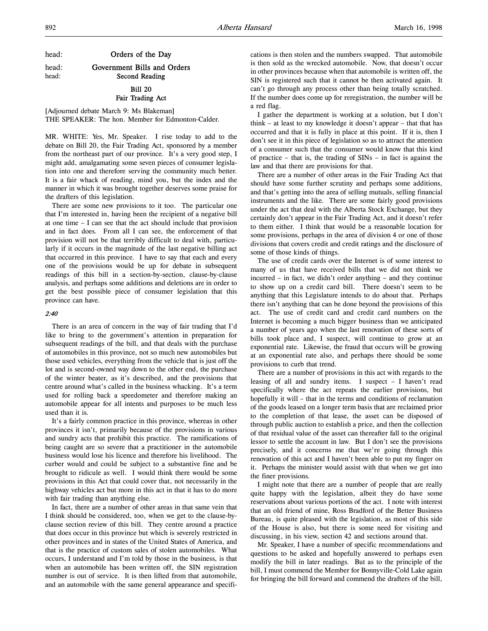head: **Orders of the Day** 

head: Government Bills and Orders head: Second Reading

## Bill 20 Fair Trading Act

[Adjourned debate March 9: Ms Blakeman] THE SPEAKER: The hon. Member for Edmonton-Calder.

MR. WHITE: Yes, Mr. Speaker. I rise today to add to the debate on Bill 20, the Fair Trading Act, sponsored by a member from the northeast part of our province. It's a very good step, I might add, amalgamating some seven pieces of consumer legislation into one and therefore serving the community much better. It is a fair whack of reading, mind you, but the index and the manner in which it was brought together deserves some praise for the drafters of this legislation.

There are some new provisions to it too. The particular one that I'm interested in, having been the recipient of a negative bill at one time – I can see that the act should include that provision and in fact does. From all I can see, the enforcement of that provision will not be that terribly difficult to deal with, particularly if it occurs in the magnitude of the last negative billing act that occurred in this province. I have to say that each and every one of the provisions would be up for debate in subsequent readings of this bill in a section-by-section, clause-by-clause analysis, and perhaps some additions and deletions are in order to get the best possible piece of consumer legislation that this province can have.

## 2:40

There is an area of concern in the way of fair trading that I'd like to bring to the government's attention in preparation for subsequent readings of the bill, and that deals with the purchase of automobiles in this province, not so much new automobiles but those used vehicles, everything from the vehicle that is just off the lot and is second-owned way down to the other end, the purchase of the winter beater, as it's described, and the provisions that centre around what's called in the business whacking. It's a term used for rolling back a speedometer and therefore making an automobile appear for all intents and purposes to be much less used than it is.

It's a fairly common practice in this province, whereas in other provinces it isn't, primarily because of the provisions in various and sundry acts that prohibit this practice. The ramifications of being caught are so severe that a practitioner in the automobile business would lose his licence and therefore his livelihood. The curber would and could be subject to a substantive fine and be brought to ridicule as well. I would think there would be some provisions in this Act that could cover that, not necessarily in the highway vehicles act but more in this act in that it has to do more with fair trading than anything else.

In fact, there are a number of other areas in that same vein that I think should be considered, too, when we get to the clause-byclause section review of this bill. They centre around a practice that does occur in this province but which is severely restricted in other provinces and in states of the United States of America, and that is the practice of custom sales of stolen automobiles. What occurs, I understand and I'm told by those in the business, is that when an automobile has been written off, the SIN registration number is out of service. It is then lifted from that automobile, and an automobile with the same general appearance and specifications is then stolen and the numbers swapped. That automobile is then sold as the wrecked automobile. Now, that doesn't occur in other provinces because when that automobile is written off, the SIN is registered such that it cannot be then activated again. It can't go through any process other than being totally scratched. If the number does come up for reregistration, the number will be a red flag.

I gather the department is working at a solution, but I don't think – at least to my knowledge it doesn't appear – that that has occurred and that it is fully in place at this point. If it is, then I don't see it in this piece of legislation so as to attract the attention of a consumer such that the consumer would know that this kind of practice – that is, the trading of SINs – in fact is against the law and that there are provisions for that.

There are a number of other areas in the Fair Trading Act that should have some further scrutiny and perhaps some additions, and that's getting into the area of selling mutuals, selling financial instruments and the like. There are some fairly good provisions under the act that deal with the Alberta Stock Exchange, but they certainly don't appear in the Fair Trading Act, and it doesn't refer to them either. I think that would be a reasonable location for some provisions, perhaps in the area of division 4 or one of those divisions that covers credit and credit ratings and the disclosure of some of those kinds of things.

The use of credit cards over the Internet is of some interest to many of us that have received bills that we did not think we incurred – in fact, we didn't order anything – and they continue to show up on a credit card bill. There doesn't seem to be anything that this Legislature intends to do about that. Perhaps there isn't anything that can be done beyond the provisions of this act. The use of credit card and credit card numbers on the Internet is becoming a much bigger business than we anticipated a number of years ago when the last renovation of these sorts of bills took place and, I suspect, will continue to grow at an exponential rate. Likewise, the fraud that occurs will be growing at an exponential rate also, and perhaps there should be some provisions to curb that trend.

There are a number of provisions in this act with regards to the leasing of all and sundry items. I suspect – I haven't read specifically where the act repeats the earlier provisions, but hopefully it will – that in the terms and conditions of reclamation of the goods leased on a longer term basis that are reclaimed prior to the completion of that lease, the asset can be disposed of through public auction to establish a price, and then the collection of that residual value of the asset can thereafter fall to the original lessor to settle the account in law. But I don't see the provisions precisely, and it concerns me that we're going through this renovation of this act and I haven't been able to put my finger on it. Perhaps the minister would assist with that when we get into the finer provisions.

I might note that there are a number of people that are really quite happy with the legislation, albeit they do have some reservations about various portions of the act. I note with interest that an old friend of mine, Ross Bradford of the Better Business Bureau, is quite pleased with the legislation, as most of this side of the House is also, but there is some need for visiting and discussing, in his view, section 42 and sections around that.

Mr. Speaker, I have a number of specific recommendations and questions to be asked and hopefully answered to perhaps even modify the bill in later readings. But as to the principle of the bill, I must commend the Member for Bonnyville-Cold Lake again for bringing the bill forward and commend the drafters of the bill,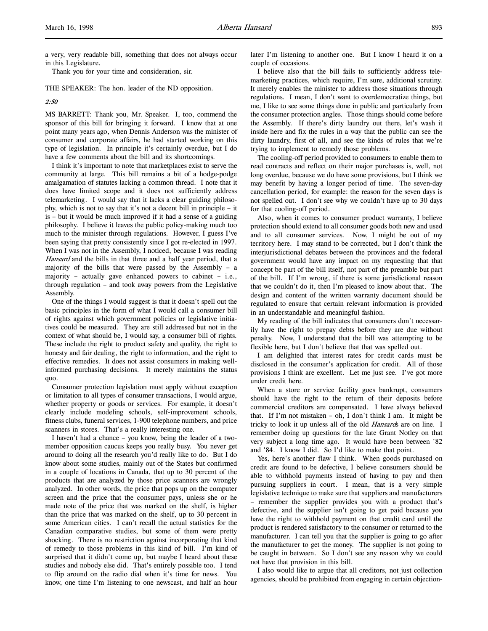a very, very readable bill, something that does not always occur in this Legislature.

Thank you for your time and consideration, sir.

THE SPEAKER: The hon. leader of the ND opposition.

#### 2:50

MS BARRETT: Thank you, Mr. Speaker. I, too, commend the sponsor of this bill for bringing it forward. I know that at one point many years ago, when Dennis Anderson was the minister of consumer and corporate affairs, he had started working on this type of legislation. In principle it's certainly overdue, but I do have a few comments about the bill and its shortcomings.

I think it's important to note that marketplaces exist to serve the community at large. This bill remains a bit of a hodge-podge amalgamation of statutes lacking a common thread. I note that it does have limited scope and it does not sufficiently address telemarketing. I would say that it lacks a clear guiding philosophy, which is not to say that it's not a decent bill in principle – it is – but it would be much improved if it had a sense of a guiding philosophy. I believe it leaves the public policy-making much too much to the minister through regulations. However, I guess I've been saying that pretty consistently since I got re-elected in 1997. When I was not in the Assembly, I noticed, because I was reading Hansard and the bills in that three and a half year period, that a majority of the bills that were passed by the Assembly – a majority – actually gave enhanced powers to cabinet – i.e., through regulation – and took away powers from the Legislative Assembly.

One of the things I would suggest is that it doesn't spell out the basic principles in the form of what I would call a consumer bill of rights against which government policies or legislative initiatives could be measured. They are still addressed but not in the context of what should be, I would say, a consumer bill of rights. These include the right to product safety and quality, the right to honesty and fair dealing, the right to information, and the right to effective remedies. It does not assist consumers in making wellinformed purchasing decisions. It merely maintains the status quo.

Consumer protection legislation must apply without exception or limitation to all types of consumer transactions, I would argue, whether property or goods or services. For example, it doesn't clearly include modeling schools, self-improvement schools, fitness clubs, funeral services, 1-900 telephone numbers, and price scanners in stores. That's a really interesting one.

I haven't had a chance – you know, being the leader of a twomember opposition caucus keeps you really busy. You never get around to doing all the research you'd really like to do. But I do know about some studies, mainly out of the States but confirmed in a couple of locations in Canada, that up to 30 percent of the products that are analyzed by those price scanners are wrongly analyzed. In other words, the price that pops up on the computer screen and the price that the consumer pays, unless she or he made note of the price that was marked on the shelf, is higher than the price that was marked on the shelf, up to 30 percent in some American cities. I can't recall the actual statistics for the Canadian comparative studies, but some of them were pretty shocking. There is no restriction against incorporating that kind of remedy to those problems in this kind of bill. I'm kind of surprised that it didn't come up, but maybe I heard about these studies and nobody else did. That's entirely possible too. I tend to flip around on the radio dial when it's time for news. You know, one time I'm listening to one newscast, and half an hour

later I'm listening to another one. But I know I heard it on a couple of occasions.

I believe also that the bill fails to sufficiently address telemarketing practices, which require, I'm sure, additional scrutiny. It merely enables the minister to address those situations through regulations. I mean, I don't want to overdemocratize things, but me, I like to see some things done in public and particularly from the consumer protection angles. Those things should come before the Assembly. If there's dirty laundry out there, let's wash it inside here and fix the rules in a way that the public can see the dirty laundry, first of all, and see the kinds of rules that we're trying to implement to remedy those problems.

The cooling-off period provided to consumers to enable them to read contracts and reflect on their major purchases is, well, not long overdue, because we do have some provisions, but I think we may benefit by having a longer period of time. The seven-day cancellation period, for example: the reason for the seven days is not spelled out. I don't see why we couldn't have up to 30 days for that cooling-off period.

Also, when it comes to consumer product warranty, I believe protection should extend to all consumer goods both new and used and to all consumer services. Now, I might be out of my territory here. I may stand to be corrected, but I don't think the interjurisdictional debates between the provinces and the federal government would have any impact on my requesting that that concept be part of the bill itself, not part of the preamble but part of the bill. If I'm wrong, if there is some jurisdictional reason that we couldn't do it, then I'm pleased to know about that. The design and content of the written warranty document should be regulated to ensure that certain relevant information is provided in an understandable and meaningful fashion.

My reading of the bill indicates that consumers don't necessarily have the right to prepay debts before they are due without penalty. Now, I understand that the bill was attempting to be flexible here, but I don't believe that that was spelled out.

I am delighted that interest rates for credit cards must be disclosed in the consumer's application for credit. All of those provisions I think are excellent. Let me just see. I've got more under credit here.

When a store or service facility goes bankrupt, consumers should have the right to the return of their deposits before commercial creditors are compensated. I have always believed that. If I'm not mistaken – oh, I don't think I am. It might be tricky to look it up unless all of the old Hansards are on line. I remember doing up questions for the late Grant Notley on that very subject a long time ago. It would have been between '82 and '84. I know I did. So I'd like to make that point.

Yes, here's another flaw I think. When goods purchased on credit are found to be defective, I believe consumers should be able to withhold payments instead of having to pay and then pursuing suppliers in court. I mean, that is a very simple legislative technique to make sure that suppliers and manufacturers – remember the supplier provides you with a product that's defective, and the supplier isn't going to get paid because you have the right to withhold payment on that credit card until the product is rendered satisfactory to the consumer or returned to the manufacturer. I can tell you that the supplier is going to go after the manufacturer to get the money. The supplier is not going to be caught in between. So I don't see any reason why we could not have that provision in this bill.

I also would like to argue that all creditors, not just collection agencies, should be prohibited from engaging in certain objection-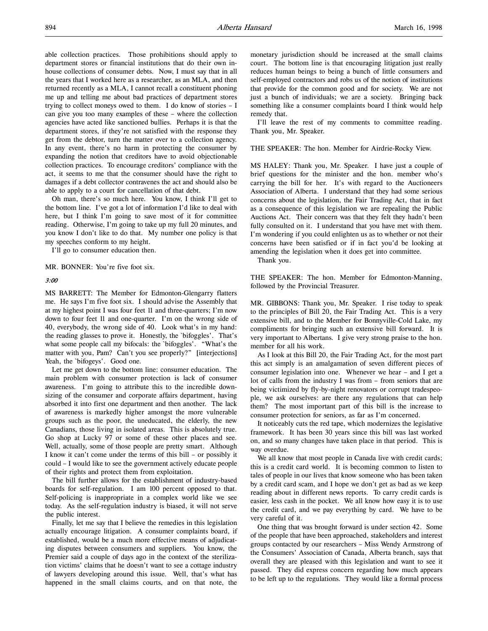able collection practices. Those prohibitions should apply to department stores or financial institutions that do their own inhouse collections of consumer debts. Now, I must say that in all the years that I worked here as a researcher, as an MLA, and then returned recently as a MLA, I cannot recall a constituent phoning me up and telling me about bad practices of department stores trying to collect moneys owed to them. I do know of stories – I can give you too many examples of these – where the collection agencies have acted like sanctioned bullies. Perhaps it is that the department stores, if they're not satisfied with the response they get from the debtor, turn the matter over to a collection agency. In any event, there's no harm in protecting the consumer by expanding the notion that creditors have to avoid objectionable collection practices. To encourage creditors' compliance with the act, it seems to me that the consumer should have the right to damages if a debt collector contravenes the act and should also be able to apply to a court for cancellation of that debt.

Oh man, there's so much here. You know, I think I'll get to the bottom line. I've got a lot of information I'd like to deal with here, but I think I'm going to save most of it for committee reading. Otherwise, I'm going to take up my full 20 minutes, and you know I don't like to do that. My number one policy is that my speeches conform to my height.

I'll go to consumer education then.

MR. BONNER: You're five foot six.

#### 3:00

MS BARRETT: The Member for Edmonton-Glengarry flatters me. He says I'm five foot six. I should advise the Assembly that at my highest point I was four feet 11 and three-quarters; I'm now down to four feet 11 and one-quarter. I'm on the wrong side of 40, everybody, the wrong side of 40. Look what's in my hand: the reading glasses to prove it. Honestly, the `bifoggles'. That's what some people call my bifocals: the `bifoggles'. "What's the matter with you, Pam? Can't you see properly?" [interjections] Yeah, the 'bifogeys'. Good one.

Let me get down to the bottom line: consumer education. The main problem with consumer protection is lack of consumer awareness. I'm going to attribute this to the incredible downsizing of the consumer and corporate affairs department, having absorbed it into first one department and then another. The lack of awareness is markedly higher amongst the more vulnerable groups such as the poor, the uneducated, the elderly, the new Canadians, those living in isolated areas. This is absolutely true. Go shop at Lucky 97 or some of these other places and see. Well, actually, some of those people are pretty smart. Although I know it can't come under the terms of this bill – or possibly it could – I would like to see the government actively educate people of their rights and protect them from exploitation.

The bill further allows for the establishment of industry-based boards for self-regulation. I am 100 percent opposed to that. Self-policing is inappropriate in a complex world like we see today. As the self-regulation industry is biased, it will not serve the public interest.

Finally, let me say that I believe the remedies in this legislation actually encourage litigation. A consumer complaints board, if established, would be a much more effective means of adjudicating disputes between consumers and suppliers. You know, the Premier said a couple of days ago in the context of the sterilization victims' claims that he doesn't want to see a cottage industry of lawyers developing around this issue. Well, that's what has happened in the small claims courts, and on that note, the

monetary jurisdiction should be increased at the small claims court. The bottom line is that encouraging litigation just really reduces human beings to being a bunch of little consumers and self-employed contractors and robs us of the notion of institutions that provide for the common good and for society. We are not just a bunch of individuals; we are a society. Bringing back something like a consumer complaints board I think would help remedy that.

I'll leave the rest of my comments to committee reading. Thank you, Mr. Speaker.

THE SPEAKER: The hon. Member for Airdrie-Rocky View.

MS HALEY: Thank you, Mr. Speaker. I have just a couple of brief questions for the minister and the hon. member who's carrying the bill for her. It's with regard to the Auctioneers Association of Alberta. I understand that they had some serious concerns about the legislation, the Fair Trading Act, that in fact as a consequence of this legislation we are repealing the Public Auctions Act. Their concern was that they felt they hadn't been fully consulted on it. I understand that you have met with them. I'm wondering if you could enlighten us as to whether or not their concerns have been satisfied or if in fact you'd be looking at amending the legislation when it does get into committee.

Thank you.

THE SPEAKER: The hon. Member for Edmonton-Manning, followed by the Provincial Treasurer.

MR. GIBBONS: Thank you, Mr. Speaker. I rise today to speak to the principles of Bill 20, the Fair Trading Act. This is a very extensive bill, and to the Member for Bonnyville-Cold Lake, my compliments for bringing such an extensive bill forward. It is very important to Albertans. I give very strong praise to the hon. member for all his work.

As I look at this Bill 20, the Fair Trading Act, for the most part this act simply is an amalgamation of seven different pieces of consumer legislation into one. Whenever we hear – and I get a lot of calls from the industry I was from – from seniors that are being victimized by fly-by-night renovators or corrupt tradespeople, we ask ourselves: are there any regulations that can help them? The most important part of this bill is the increase to consumer protection for seniors, as far as I'm concerned.

It noticeably cuts the red tape, which modernizes the legislative framework. It has been 30 years since this bill was last worked on, and so many changes have taken place in that period. This is way overdue.

We all know that most people in Canada live with credit cards; this is a credit card world. It is becoming common to listen to tales of people in our lives that know someone who has been taken by a credit card scam, and I hope we don't get as bad as we keep reading about in different news reports. To carry credit cards is easier, less cash in the pocket. We all know how easy it is to use the credit card, and we pay everything by card. We have to be very careful of it.

One thing that was brought forward is under section 42. Some of the people that have been approached, stakeholders and interest groups contacted by our researchers – Miss Wendy Armstrong of the Consumers' Association of Canada, Alberta branch, says that overall they are pleased with this legislation and want to see it passed. They did express concern regarding how much appears to be left up to the regulations. They would like a formal process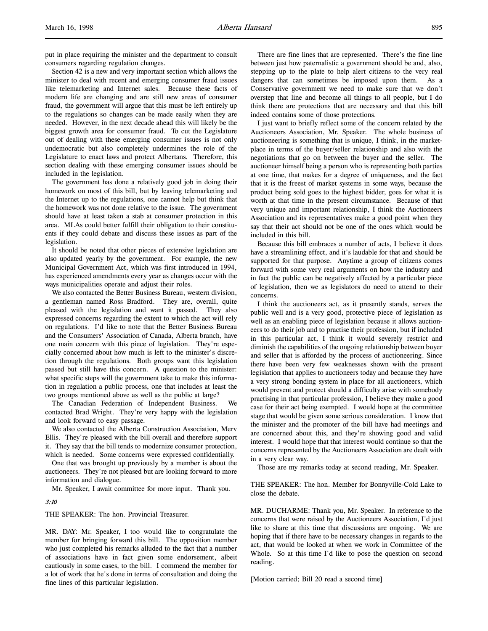put in place requiring the minister and the department to consult consumers regarding regulation changes.

Section 42 is a new and very important section which allows the minister to deal with recent and emerging consumer fraud issues like telemarketing and Internet sales. Because these facts of modern life are changing and are still new areas of consumer fraud, the government will argue that this must be left entirely up to the regulations so changes can be made easily when they are needed. However, in the next decade ahead this will likely be the biggest growth area for consumer fraud. To cut the Legislature out of dealing with these emerging consumer issues is not only undemocratic but also completely undermines the role of the Legislature to enact laws and protect Albertans. Therefore, this section dealing with these emerging consumer issues should be included in the legislation.

The government has done a relatively good job in doing their homework on most of this bill, but by leaving telemarketing and the Internet up to the regulations, one cannot help but think that the homework was not done relative to the issue. The government should have at least taken a stab at consumer protection in this area. MLAs could better fulfill their obligation to their constituents if they could debate and discuss these issues as part of the legislation.

It should be noted that other pieces of extensive legislation are also updated yearly by the government. For example, the new Municipal Government Act, which was first introduced in 1994, has experienced amendments every year as changes occur with the ways municipalities operate and adjust their roles.

We also contacted the Better Business Bureau, western division, a gentleman named Ross Bradford. They are, overall, quite pleased with the legislation and want it passed. They also expressed concerns regarding the extent to which the act will rely on regulations. I'd like to note that the Better Business Bureau and the Consumers' Association of Canada, Alberta branch, have one main concern with this piece of legislation. They're especially concerned about how much is left to the minister's discretion through the regulations. Both groups want this legislation passed but still have this concern. A question to the minister: what specific steps will the government take to make this information in regulation a public process, one that includes at least the two groups mentioned above as well as the public at large?

The Canadian Federation of Independent Business. We contacted Brad Wright. They're very happy with the legislation and look forward to easy passage.

We also contacted the Alberta Construction Association, Merv Ellis. They're pleased with the bill overall and therefore support it. They say that the bill tends to modernize consumer protection, which is needed. Some concerns were expressed confidentially.

One that was brought up previously by a member is about the auctioneers. They're not pleased but are looking forward to more information and dialogue.

Mr. Speaker, I await committee for more input. Thank you.

#### 3:10

THE SPEAKER: The hon. Provincial Treasurer.

MR. DAY: Mr. Speaker, I too would like to congratulate the member for bringing forward this bill. The opposition member who just completed his remarks alluded to the fact that a number of associations have in fact given some endorsement, albeit cautiously in some cases, to the bill. I commend the member for a lot of work that he's done in terms of consultation and doing the fine lines of this particular legislation.

There are fine lines that are represented. There's the fine line between just how paternalistic a government should be and, also, stepping up to the plate to help alert citizens to the very real dangers that can sometimes be imposed upon them. As a Conservative government we need to make sure that we don't overstep that line and become all things to all people, but I do think there are protections that are necessary and that this bill indeed contains some of those protections.

I just want to briefly reflect some of the concern related by the Auctioneers Association, Mr. Speaker. The whole business of auctioneering is something that is unique, I think, in the marketplace in terms of the buyer/seller relationship and also with the negotiations that go on between the buyer and the seller. The auctioneer himself being a person who is representing both parties at one time, that makes for a degree of uniqueness, and the fact that it is the freest of market systems in some ways, because the product being sold goes to the highest bidder, goes for what it is worth at that time in the present circumstance. Because of that very unique and important relationship, I think the Auctioneers Association and its representatives make a good point when they say that their act should not be one of the ones which would be included in this bill.

Because this bill embraces a number of acts, I believe it does have a streamlining effect, and it's laudable for that and should be supported for that purpose. Anytime a group of citizens comes forward with some very real arguments on how the industry and in fact the public can be negatively affected by a particular piece of legislation, then we as legislators do need to attend to their concerns.

I think the auctioneers act, as it presently stands, serves the public well and is a very good, protective piece of legislation as well as an enabling piece of legislation because it allows auctioneers to do their job and to practise their profession, but if included in this particular act, I think it would severely restrict and diminish the capabilities of the ongoing relationship between buyer and seller that is afforded by the process of auctioneering. Since there have been very few weaknesses shown with the present legislation that applies to auctioneers today and because they have a very strong bonding system in place for all auctioneers, which would prevent and protect should a difficulty arise with somebody practising in that particular profession, I believe they make a good case for their act being exempted. I would hope at the committee stage that would be given some serious consideration. I know that the minister and the promoter of the bill have had meetings and are concerned about this, and they're showing good and valid interest. I would hope that that interest would continue so that the concerns represented by the Auctioneers Association are dealt with in a very clear way.

Those are my remarks today at second reading, Mr. Speaker.

THE SPEAKER: The hon. Member for Bonnyville-Cold Lake to close the debate.

MR. DUCHARME: Thank you, Mr. Speaker. In reference to the concerns that were raised by the Auctioneers Association, I'd just like to share at this time that discussions are ongoing. We are hoping that if there have to be necessary changes in regards to the act, that would be looked at when we work in Committee of the Whole. So at this time I'd like to pose the question on second reading.

[Motion carried; Bill 20 read a second time]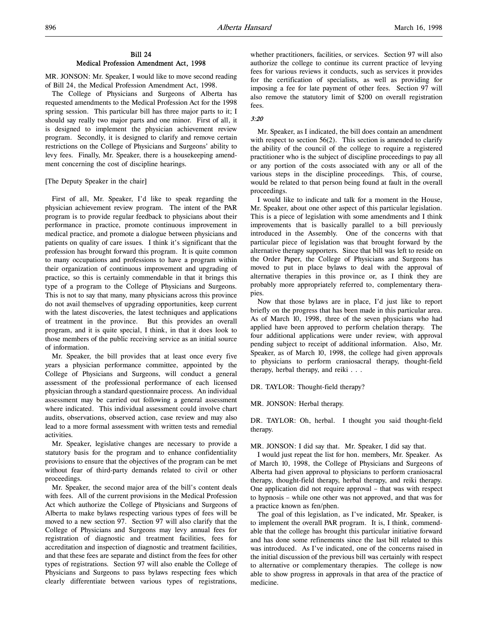## Bill 24 Medical Profession Amendment Act, 1998

MR. JONSON: Mr. Speaker, I would like to move second reading of Bill 24, the Medical Profession Amendment Act, 1998.

The College of Physicians and Surgeons of Alberta has requested amendments to the Medical Profession Act for the 1998 spring session. This particular bill has three major parts to it; I should say really two major parts and one minor. First of all, it is designed to implement the physician achievement review program. Secondly, it is designed to clarify and remove certain restrictions on the College of Physicians and Surgeons' ability to levy fees. Finally, Mr. Speaker, there is a housekeeping amendment concerning the cost of discipline hearings.

#### [The Deputy Speaker in the chair]

First of all, Mr. Speaker, I'd like to speak regarding the physician achievement review program. The intent of the PAR program is to provide regular feedback to physicians about their performance in practice, promote continuous improvement in medical practice, and promote a dialogue between physicians and patients on quality of care issues. I think it's significant that the profession has brought forward this program. It is quite common to many occupations and professions to have a program within their organization of continuous improvement and upgrading of practice, so this is certainly commendable in that it brings this type of a program to the College of Physicians and Surgeons. This is not to say that many, many physicians across this province do not avail themselves of upgrading opportunities, keep current with the latest discoveries, the latest techniques and applications of treatment in the province. But this provides an overall program, and it is quite special, I think, in that it does look to those members of the public receiving service as an initial source of information.

Mr. Speaker, the bill provides that at least once every five years a physician performance committee, appointed by the College of Physicians and Surgeons, will conduct a general assessment of the professional performance of each licensed physician through a standard questionnaire process. An individual assessment may be carried out following a general assessment where indicated. This individual assessment could involve chart audits, observations, observed action, case review and may also lead to a more formal assessment with written tests and remedial activities.

Mr. Speaker, legislative changes are necessary to provide a statutory basis for the program and to enhance confidentiality provisions to ensure that the objectives of the program can be met without fear of third-party demands related to civil or other proceedings.

Mr. Speaker, the second major area of the bill's content deals with fees. All of the current provisions in the Medical Profession Act which authorize the College of Physicians and Surgeons of Alberta to make bylaws respecting various types of fees will be moved to a new section 97. Section 97 will also clarify that the College of Physicians and Surgeons may levy annual fees for registration of diagnostic and treatment facilities, fees for accreditation and inspection of diagnostic and treatment facilities, and that these fees are separate and distinct from the fees for other types of registrations. Section 97 will also enable the College of Physicians and Surgeons to pass bylaws respecting fees which clearly differentiate between various types of registrations,

whether practitioners, facilities, or services. Section 97 will also authorize the college to continue its current practice of levying fees for various reviews it conducts, such as services it provides for the certification of specialists, as well as providing for imposing a fee for late payment of other fees. Section 97 will also remove the statutory limit of \$200 on overall registration fees.

## 3:20

Mr. Speaker, as I indicated, the bill does contain an amendment with respect to section 56(2). This section is amended to clarify the ability of the council of the college to require a registered practitioner who is the subject of discipline proceedings to pay all or any portion of the costs associated with any or all of the various steps in the discipline proceedings. This, of course, would be related to that person being found at fault in the overall proceedings.

I would like to indicate and talk for a moment in the House, Mr. Speaker, about one other aspect of this particular legislation. This is a piece of legislation with some amendments and I think improvements that is basically parallel to a bill previously introduced in the Assembly. One of the concerns with that particular piece of legislation was that brought forward by the alternative therapy supporters. Since that bill was left to reside on the Order Paper, the College of Physicians and Surgeons has moved to put in place bylaws to deal with the approval of alternative therapies in this province or, as I think they are probably more appropriately referred to, complementary therapies.

Now that those bylaws are in place, I'd just like to report briefly on the progress that has been made in this particular area. As of March 10, 1998, three of the seven physicians who had applied have been approved to perform chelation therapy. The four additional applications were under review, with approval pending subject to receipt of additional information. Also, Mr. Speaker, as of March 10, 1998, the college had given approvals to physicians to perform craniosacral therapy, thought-field therapy, herbal therapy, and reiki . . .

DR. TAYLOR: Thought-field therapy?

MR. JONSON: Herbal therapy.

DR. TAYLOR: Oh, herbal. I thought you said thought-field therapy.

MR. JONSON: I did say that. Mr. Speaker, I did say that.

I would just repeat the list for hon. members, Mr. Speaker. As of March 10, 1998, the College of Physicians and Surgeons of Alberta had given approval to physicians to perform craniosacral therapy, thought-field therapy, herbal therapy, and reiki therapy. One application did not require approval – that was with respect to hypnosis – while one other was not approved, and that was for a practice known as fen/phen.

The goal of this legislation, as I've indicated, Mr. Speaker, is to implement the overall PAR program. It is, I think, commendable that the college has brought this particular initiative forward and has done some refinements since the last bill related to this was introduced. As I've indicated, one of the concerns raised in the initial discussion of the previous bill was certainly with respect to alternative or complementary therapies. The college is now able to show progress in approvals in that area of the practice of medicine.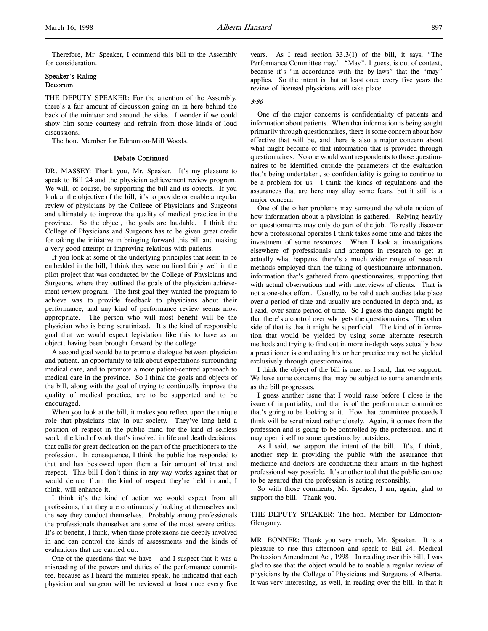Therefore, Mr. Speaker, I commend this bill to the Assembly for consideration.

## Speaker's Ruling Decorum

THE DEPUTY SPEAKER: For the attention of the Assembly, there's a fair amount of discussion going on in here behind the back of the minister and around the sides. I wonder if we could show him some courtesy and refrain from those kinds of loud discussions.

The hon. Member for Edmonton-Mill Woods.

#### Debate Continued

DR. MASSEY: Thank you, Mr. Speaker. It's my pleasure to speak to Bill 24 and the physician achievement review program. We will, of course, be supporting the bill and its objects. If you look at the objective of the bill, it's to provide or enable a regular review of physicians by the College of Physicians and Surgeons and ultimately to improve the quality of medical practice in the province. So the object, the goals are laudable. I think the College of Physicians and Surgeons has to be given great credit for taking the initiative in bringing forward this bill and making a very good attempt at improving relations with patients.

If you look at some of the underlying principles that seem to be embedded in the bill, I think they were outlined fairly well in the pilot project that was conducted by the College of Physicians and Surgeons, where they outlined the goals of the physician achievement review program. The first goal they wanted the program to achieve was to provide feedback to physicians about their performance, and any kind of performance review seems most appropriate. The person who will most benefit will be the physician who is being scrutinized. It's the kind of responsible goal that we would expect legislation like this to have as an object, having been brought forward by the college.

A second goal would be to promote dialogue between physician and patient, an opportunity to talk about expectations surrounding medical care, and to promote a more patient-centred approach to medical care in the province. So I think the goals and objects of the bill, along with the goal of trying to continually improve the quality of medical practice, are to be supported and to be encouraged.

When you look at the bill, it makes you reflect upon the unique role that physicians play in our society. They've long held a position of respect in the public mind for the kind of selfless work, the kind of work that's involved in life and death decisions, that calls for great dedication on the part of the practitioners to the profession. In consequence, I think the public has responded to that and has bestowed upon them a fair amount of trust and respect. This bill I don't think in any way works against that or would detract from the kind of respect they're held in and, I think, will enhance it.

I think it's the kind of action we would expect from all professions, that they are continuously looking at themselves and the way they conduct themselves. Probably among professionals the professionals themselves are some of the most severe critics. It's of benefit, I think, when those professions are deeply involved in and can control the kinds of assessments and the kinds of evaluations that are carried out.

One of the questions that we have – and I suspect that it was a misreading of the powers and duties of the performance committee, because as I heard the minister speak, he indicated that each physician and surgeon will be reviewed at least once every five years. As I read section 33.3(1) of the bill, it says, "The Performance Committee may." "May", I guess, is out of context, because it's "in accordance with the by-laws" that the "may" applies. So the intent is that at least once every five years the review of licensed physicians will take place.

## 3:30

One of the major concerns is confidentiality of patients and information about patients. When that information is being sought primarily through questionnaires, there is some concern about how effective that will be, and there is also a major concern about what might become of that information that is provided through questionnaires. No one would want respondents to those questionnaires to be identified outside the parameters of the evaluation that's being undertaken, so confidentiality is going to continue to be a problem for us. I think the kinds of regulations and the assurances that are here may allay some fears, but it still is a major concern.

One of the other problems may surround the whole notion of how information about a physician is gathered. Relying heavily on questionnaires may only do part of the job. To really discover how a professional operates I think takes some time and takes the investment of some resources. When I look at investigations elsewhere of professionals and attempts in research to get at actually what happens, there's a much wider range of research methods employed than the taking of questionnaire information, information that's gathered from questionnaires, supporting that with actual observations and with interviews of clients. That is not a one-shot effort. Usually, to be valid such studies take place over a period of time and usually are conducted in depth and, as I said, over some period of time. So I guess the danger might be that there's a control over who gets the questionnaires. The other side of that is that it might be superficial. The kind of information that would be yielded by using some alternate research methods and trying to find out in more in-depth ways actually how a practitioner is conducting his or her practice may not be yielded exclusively through questionnaires.

I think the object of the bill is one, as I said, that we support. We have some concerns that may be subject to some amendments as the bill progresses.

I guess another issue that I would raise before I close is the issue of impartiality, and that is of the performance committee that's going to be looking at it. How that committee proceeds I think will be scrutinized rather closely. Again, it comes from the profession and is going to be controlled by the profession, and it may open itself to some questions by outsiders.

As I said, we support the intent of the bill. It's, I think, another step in providing the public with the assurance that medicine and doctors are conducting their affairs in the highest professional way possible. It's another tool that the public can use to be assured that the profession is acting responsibly.

So with those comments, Mr. Speaker, I am, again, glad to support the bill. Thank you.

## THE DEPUTY SPEAKER: The hon. Member for Edmonton-Glengarry.

MR. BONNER: Thank you very much, Mr. Speaker. It is a pleasure to rise this afternoon and speak to Bill 24, Medical Profession Amendment Act, 1998. In reading over this bill, I was glad to see that the object would be to enable a regular review of physicians by the College of Physicians and Surgeons of Alberta. It was very interesting, as well, in reading over the bill, in that it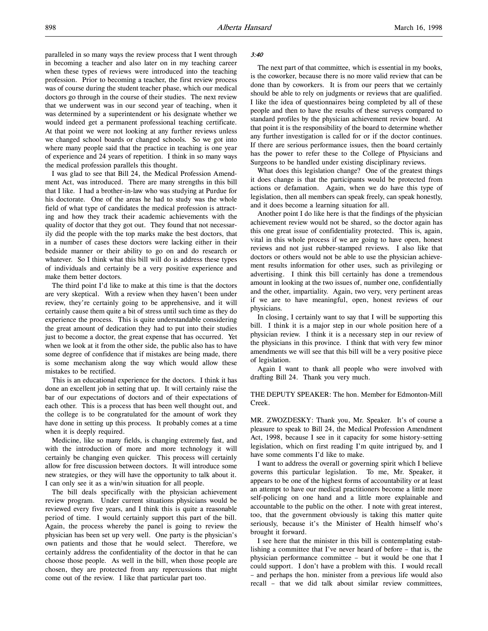paralleled in so many ways the review process that I went through in becoming a teacher and also later on in my teaching career when these types of reviews were introduced into the teaching profession. Prior to becoming a teacher, the first review process was of course during the student teacher phase, which our medical doctors go through in the course of their studies. The next review that we underwent was in our second year of teaching, when it was determined by a superintendent or his designate whether we would indeed get a permanent professional teaching certificate. At that point we were not looking at any further reviews unless we changed school boards or changed schools. So we got into where many people said that the practice in teaching is one year of experience and 24 years of repetition. I think in so many ways the medical profession parallels this thought.

I was glad to see that Bill 24, the Medical Profession Amendment Act, was introduced. There are many strengths in this bill that I like. I had a brother-in-law who was studying at Purdue for his doctorate. One of the areas he had to study was the whole field of what type of candidates the medical profession is attracting and how they track their academic achievements with the quality of doctor that they got out. They found that not necessarily did the people with the top marks make the best doctors, that in a number of cases these doctors were lacking either in their bedside manner or their ability to go on and do research or whatever. So I think what this bill will do is address these types of individuals and certainly be a very positive experience and make them better doctors.

The third point I'd like to make at this time is that the doctors are very skeptical. With a review when they haven't been under review, they're certainly going to be apprehensive, and it will certainly cause them quite a bit of stress until such time as they do experience the process. This is quite understandable considering the great amount of dedication they had to put into their studies just to become a doctor, the great expense that has occurred. Yet when we look at it from the other side, the public also has to have some degree of confidence that if mistakes are being made, there is some mechanism along the way which would allow these mistakes to be rectified.

This is an educational experience for the doctors. I think it has done an excellent job in setting that up. It will certainly raise the bar of our expectations of doctors and of their expectations of each other. This is a process that has been well thought out, and the college is to be congratulated for the amount of work they have done in setting up this process. It probably comes at a time when it is deeply required.

Medicine, like so many fields, is changing extremely fast, and with the introduction of more and more technology it will certainly be changing even quicker. This process will certainly allow for free discussion between doctors. It will introduce some new strategies, or they will have the opportunity to talk about it. I can only see it as a win/win situation for all people.

The bill deals specifically with the physician achievement review program. Under current situations physicians would be reviewed every five years, and I think this is quite a reasonable period of time. I would certainly support this part of the bill. Again, the process whereby the panel is going to review the physician has been set up very well. One party is the physician's own patients and those that he would select. Therefore, we certainly address the confidentiality of the doctor in that he can choose those people. As well in the bill, when those people are chosen, they are protected from any repercussions that might come out of the review. I like that particular part too.

#### 3:40

The next part of that committee, which is essential in my books, is the coworker, because there is no more valid review that can be done than by coworkers. It is from our peers that we certainly should be able to rely on judgments or reviews that are qualified. I like the idea of questionnaires being completed by all of these people and then to have the results of these surveys compared to standard profiles by the physician achievement review board. At that point it is the responsibility of the board to determine whether any further investigation is called for or if the doctor continues. If there are serious performance issues, then the board certainly has the power to refer these to the College of Physicians and Surgeons to be handled under existing disciplinary reviews.

What does this legislation change? One of the greatest things it does change is that the participants would be protected from actions or defamation. Again, when we do have this type of legislation, then all members can speak freely, can speak honestly, and it does become a learning situation for all.

Another point I do like here is that the findings of the physician achievement review would not be shared, so the doctor again has this one great issue of confidentiality protected. This is, again, vital in this whole process if we are going to have open, honest reviews and not just rubber-stamped reviews. I also like that doctors or others would not be able to use the physician achievement results information for other uses, such as privileging or advertising. I think this bill certainly has done a tremendous amount in looking at the two issues of, number one, confidentially and the other, impartiality. Again, two very, very pertinent areas if we are to have meaningful, open, honest reviews of our physicians.

In closing, I certainly want to say that I will be supporting this bill. I think it is a major step in our whole position here of a physician review. I think it is a necessary step in our review of the physicians in this province. I think that with very few minor amendments we will see that this bill will be a very positive piece of legislation.

Again I want to thank all people who were involved with drafting Bill 24. Thank you very much.

## THE DEPUTY SPEAKER: The hon. Member for Edmonton-Mill Creek.

MR. ZWOZDESKY: Thank you, Mr. Speaker. It's of course a pleasure to speak to Bill 24, the Medical Profession Amendment Act, 1998, because I see in it capacity for some history-setting legislation, which on first reading I'm quite intrigued by, and I have some comments I'd like to make.

I want to address the overall or governing spirit which I believe governs this particular legislation. To me, Mr. Speaker, it appears to be one of the highest forms of accountability or at least an attempt to have our medical practitioners become a little more self-policing on one hand and a little more explainable and accountable to the public on the other. I note with great interest, too, that the government obviously is taking this matter quite seriously, because it's the Minister of Health himself who's brought it forward.

I see here that the minister in this bill is contemplating establishing a committee that I've never heard of before – that is, the physician performance committee – but it would be one that I could support. I don't have a problem with this. I would recall – and perhaps the hon. minister from a previous life would also recall – that we did talk about similar review committees,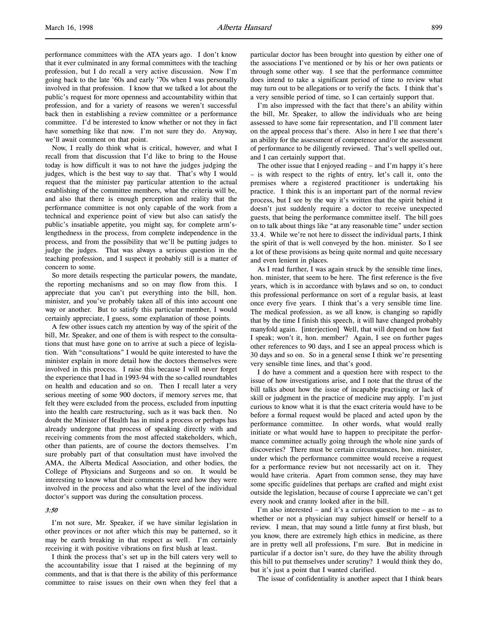performance committees with the ATA years ago. I don't know that it ever culminated in any formal committees with the teaching profession, but I do recall a very active discussion. Now I'm going back to the late '60s and early '70s when I was personally involved in that profession. I know that we talked a lot about the public's request for more openness and accountability within that profession, and for a variety of reasons we weren't successful back then in establishing a review committee or a performance committee. I'd be interested to know whether or not they in fact have something like that now. I'm not sure they do. Anyway, we'll await comment on that point.

Now, I really do think what is critical, however, and what I recall from that discussion that I'd like to bring to the House today is how difficult it was to not have the judges judging the judges, which is the best way to say that. That's why I would request that the minister pay particular attention to the actual establishing of the committee members, what the criteria will be, and also that there is enough perception and reality that the performance committee is not only capable of the work from a technical and experience point of view but also can satisfy the public's insatiable appetite, you might say, for complete arm'slengthedness in the process, from complete independence in the process, and from the possibility that we'll be putting judges to judge the judges. That was always a serious question in the teaching profession, and I suspect it probably still is a matter of concern to some.

So more details respecting the particular powers, the mandate, the reporting mechanisms and so on may flow from this. I appreciate that you can't put everything into the bill, hon. minister, and you've probably taken all of this into account one way or another. But to satisfy this particular member, I would certainly appreciate, I guess, some explanation of those points.

A few other issues catch my attention by way of the spirit of the bill, Mr. Speaker, and one of them is with respect to the consultations that must have gone on to arrive at such a piece of legislation. With "consultations" I would be quite interested to have the minister explain in more detail how the doctors themselves were involved in this process. I raise this because I will never forget the experience that I had in 1993-94 with the so-called roundtables on health and education and so on. Then I recall later a very serious meeting of some 900 doctors, if memory serves me, that felt they were excluded from the process, excluded from inputting into the health care restructuring, such as it was back then. No doubt the Minister of Health has in mind a process or perhaps has already undergone that process of speaking directly with and receiving comments from the most affected stakeholders, which, other than patients, are of course the doctors themselves. I'm sure probably part of that consultation must have involved the AMA, the Alberta Medical Association, and other bodies, the College of Physicians and Surgeons and so on. It would be interesting to know what their comments were and how they were involved in the process and also what the level of the individual doctor's support was during the consultation process.

#### 3:50

I'm not sure, Mr. Speaker, if we have similar legislation in other provinces or not after which this may be patterned, so it may be earth breaking in that respect as well. I'm certainly receiving it with positive vibrations on first blush at least.

I think the process that's set up in the bill caters very well to the accountability issue that I raised at the beginning of my comments, and that is that there is the ability of this performance committee to raise issues on their own when they feel that a

particular doctor has been brought into question by either one of the associations I've mentioned or by his or her own patients or through some other way. I see that the performance committee does intend to take a significant period of time to review what may turn out to be allegations or to verify the facts. I think that's a very sensible period of time, so I can certainly support that.

I'm also impressed with the fact that there's an ability within the bill, Mr. Speaker, to allow the individuals who are being assessed to have some fair representation, and I'll comment later on the appeal process that's there. Also in here I see that there's an ability for the assessment of competence and/or the assessment of performance to be diligently reviewed. That's well spelled out, and I can certainly support that.

The other issue that I enjoyed reading – and I'm happy it's here – is with respect to the rights of entry, let's call it, onto the premises where a registered practitioner is undertaking his practice. I think this is an important part of the normal review process, but I see by the way it's written that the spirit behind it doesn't just suddenly require a doctor to receive unexpected guests, that being the performance committee itself. The bill goes on to talk about things like "at any reasonable time" under section 33.4. While we're not here to dissect the individual parts, I think the spirit of that is well conveyed by the hon. minister. So I see a lot of these provisions as being quite normal and quite necessary and even lenient in places.

As I read further, I was again struck by the sensible time lines, hon. minister, that seem to be here. The first reference is the five years, which is in accordance with bylaws and so on, to conduct this professional performance on sort of a regular basis, at least once every five years. I think that's a very sensible time line. The medical profession, as we all know, is changing so rapidly that by the time I finish this speech, it will have changed probably manyfold again. [interjection] Well, that will depend on how fast I speak; won't it, hon. member? Again, I see on further pages other references to 90 days, and I see an appeal process which is 30 days and so on. So in a general sense I think we're presenting very sensible time lines, and that's good.

I do have a comment and a question here with respect to the issue of how investigations arise, and I note that the thrust of the bill talks about how the issue of incapable practising or lack of skill or judgment in the practice of medicine may apply. I'm just curious to know what it is that the exact criteria would have to be before a formal request would be placed and acted upon by the performance committee. In other words, what would really initiate or what would have to happen to precipitate the performance committee actually going through the whole nine yards of discoveries? There must be certain circumstances, hon. minister, under which the performance committee would receive a request for a performance review but not necessarily act on it. They would have criteria. Apart from common sense, they may have some specific guidelines that perhaps are crafted and might exist outside the legislation, because of course I appreciate we can't get every nook and cranny looked after in the bill.

I'm also interested – and it's a curious question to me – as to whether or not a physician may subject himself or herself to a review. I mean, that may sound a little funny at first blush, but you know, there are extremely high ethics in medicine, as there are in pretty well all professions, I'm sure. But in medicine in particular if a doctor isn't sure, do they have the ability through this bill to put themselves under scrutiny? I would think they do, but it's just a point that I wanted clarified.

The issue of confidentiality is another aspect that I think bears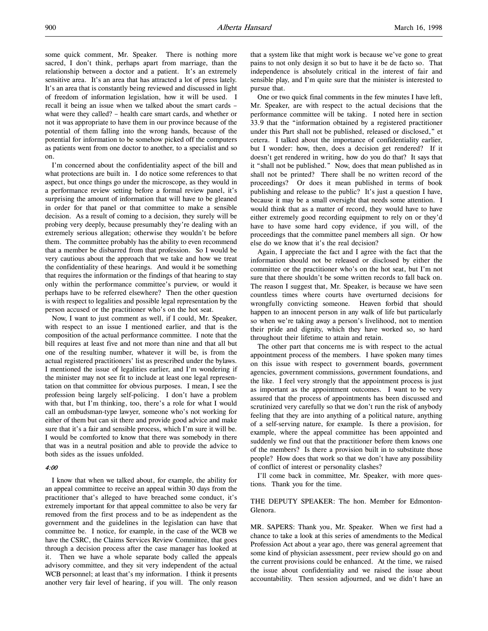some quick comment, Mr. Speaker. There is nothing more sacred, I don't think, perhaps apart from marriage, than the relationship between a doctor and a patient. It's an extremely sensitive area. It's an area that has attracted a lot of press lately. It's an area that is constantly being reviewed and discussed in light of freedom of information legislation, how it will be used. I recall it being an issue when we talked about the smart cards – what were they called? – health care smart cards, and whether or not it was appropriate to have them in our province because of the potential of them falling into the wrong hands, because of the potential for information to be somehow picked off the computers as patients went from one doctor to another, to a specialist and so on.

I'm concerned about the confidentiality aspect of the bill and what protections are built in. I do notice some references to that aspect, but once things go under the microscope, as they would in a performance review setting before a formal review panel, it's surprising the amount of information that will have to be gleaned in order for that panel or that committee to make a sensible decision. As a result of coming to a decision, they surely will be probing very deeply, because presumably they're dealing with an extremely serious allegation; otherwise they wouldn't be before them. The committee probably has the ability to even recommend that a member be disbarred from that profession. So I would be very cautious about the approach that we take and how we treat the confidentiality of these hearings. And would it be something that requires the information or the findings of that hearing to stay only within the performance committee's purview, or would it perhaps have to be referred elsewhere? Then the other question is with respect to legalities and possible legal representation by the person accused or the practitioner who's on the hot seat.

Now, I want to just comment as well, if I could, Mr. Speaker, with respect to an issue I mentioned earlier, and that is the composition of the actual performance committee. I note that the bill requires at least five and not more than nine and that all but one of the resulting number, whatever it will be, is from the actual registered practitioners' list as prescribed under the bylaws. I mentioned the issue of legalities earlier, and I'm wondering if the minister may not see fit to include at least one legal representation on that committee for obvious purposes. I mean, I see the profession being largely self-policing. I don't have a problem with that, but I'm thinking, too, there's a role for what I would call an ombudsman-type lawyer, someone who's not working for either of them but can sit there and provide good advice and make sure that it's a fair and sensible process, which I'm sure it will be. I would be comforted to know that there was somebody in there that was in a neutral position and able to provide the advice to both sides as the issues unfolded.

## 4:00

I know that when we talked about, for example, the ability for an appeal committee to receive an appeal within 30 days from the practitioner that's alleged to have breached some conduct, it's extremely important for that appeal committee to also be very far removed from the first process and to be as independent as the government and the guidelines in the legislation can have that committee be. I notice, for example, in the case of the WCB we have the CSRC, the Claims Services Review Committee, that goes through a decision process after the case manager has looked at it. Then we have a whole separate body called the appeals advisory committee, and they sit very independent of the actual WCB personnel; at least that's my information. I think it presents another very fair level of hearing, if you will. The only reason

that a system like that might work is because we've gone to great pains to not only design it so but to have it be de facto so. That independence is absolutely critical in the interest of fair and sensible play, and I'm quite sure that the minister is interested to pursue that.

One or two quick final comments in the few minutes I have left, Mr. Speaker, are with respect to the actual decisions that the performance committee will be taking. I noted here in section 33.9 that the "information obtained by a registered practitioner under this Part shall not be published, released or disclosed," et cetera. I talked about the importance of confidentiality earlier, but I wonder: how, then, does a decision get rendered? If it doesn't get rendered in writing, how do you do that? It says that it "shall not be published." Now, does that mean published as in shall not be printed? There shall be no written record of the proceedings? Or does it mean published in terms of book publishing and release to the public? It's just a question I have, because it may be a small oversight that needs some attention. I would think that as a matter of record, they would have to have either extremely good recording equipment to rely on or they'd have to have some hard copy evidence, if you will, of the proceedings that the committee panel members all sign. Or how else do we know that it's the real decision?

Again, I appreciate the fact and I agree with the fact that the information should not be released or disclosed by either the committee or the practitioner who's on the hot seat, but I'm not sure that there shouldn't be some written records to fall back on. The reason I suggest that, Mr. Speaker, is because we have seen countless times where courts have overturned decisions for wrongfully convicting someone. Heaven forbid that should happen to an innocent person in any walk of life but particularly so when we're taking away a person's livelihood, not to mention their pride and dignity, which they have worked so, so hard throughout their lifetime to attain and retain.

The other part that concerns me is with respect to the actual appointment process of the members. I have spoken many times on this issue with respect to government boards, government agencies, government commissions, government foundations, and the like. I feel very strongly that the appointment process is just as important as the appointment outcomes. I want to be very assured that the process of appointments has been discussed and scrutinized very carefully so that we don't run the risk of anybody feeling that they are into anything of a political nature, anything of a self-serving nature, for example. Is there a provision, for example, where the appeal committee has been appointed and suddenly we find out that the practitioner before them knows one of the members? Is there a provision built in to substitute those people? How does that work so that we don't have any possibility of conflict of interest or personality clashes?

I'll come back in committee, Mr. Speaker, with more questions. Thank you for the time.

## THE DEPUTY SPEAKER: The hon. Member for Edmonton-Glenora.

MR. SAPERS: Thank you, Mr. Speaker. When we first had a chance to take a look at this series of amendments to the Medical Profession Act about a year ago, there was general agreement that some kind of physician assessment, peer review should go on and the current provisions could be enhanced. At the time, we raised the issue about confidentiality and we raised the issue about accountability. Then session adjourned, and we didn't have an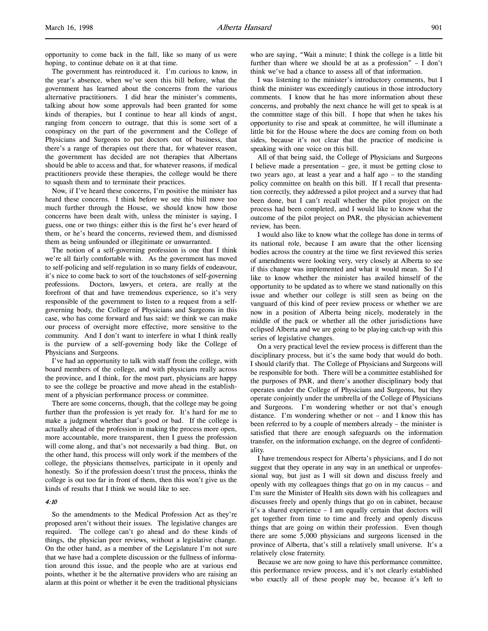opportunity to come back in the fall, like so many of us were hoping, to continue debate on it at that time.

The government has reintroduced it. I'm curious to know, in the year's absence, when we've seen this bill before, what the government has learned about the concerns from the various alternative practitioners. I did hear the minister's comments, talking about how some approvals had been granted for some kinds of therapies, but I continue to hear all kinds of angst, ranging from concern to outrage, that this is some sort of a conspiracy on the part of the government and the College of Physicians and Surgeons to put doctors out of business, that there's a range of therapies out there that, for whatever reason, the government has decided are not therapies that Albertans should be able to access and that, for whatever reasons, if medical practitioners provide these therapies, the college would be there to squash them and to terminate their practices.

Now, if I've heard these concerns, I'm positive the minister has heard these concerns. I think before we see this bill move too much further through the House, we should know how those concerns have been dealt with, unless the minister is saying, I guess, one or two things: either this is the first he's ever heard of them, or he's heard the concerns, reviewed them, and dismissed them as being unfounded or illegitimate or unwarranted.

The notion of a self-governing profession is one that I think we're all fairly comfortable with. As the government has moved to self-policing and self-regulation in so many fields of endeavour, it's nice to come back to sort of the touchstones of self-governing professions. Doctors, lawyers, et cetera, are really at the forefront of that and have tremendous experience, so it's very responsible of the government to listen to a request from a selfgoverning body, the College of Physicians and Surgeons in this case, who has come forward and has said: we think we can make our process of oversight more effective, more sensitive to the community. And I don't want to interfere in what I think really is the purview of a self-governing body like the College of Physicians and Surgeons.

I've had an opportunity to talk with staff from the college, with board members of the college, and with physicians really across the province, and I think, for the most part, physicians are happy to see the college be proactive and move ahead in the establishment of a physician performance process or committee.

There are some concerns, though, that the college may be going further than the profession is yet ready for. It's hard for me to make a judgment whether that's good or bad. If the college is actually ahead of the profession in making the process more open, more accountable, more transparent, then I guess the profession will come along, and that's not necessarily a bad thing. But, on the other hand, this process will only work if the members of the college, the physicians themselves, participate in it openly and honestly. So if the profession doesn't trust the process, thinks the college is out too far in front of them, then this won't give us the kinds of results that I think we would like to see.

#### 4:10

So the amendments to the Medical Profession Act as they're proposed aren't without their issues. The legislative changes are required. The college can't go ahead and do these kinds of things, the physician peer reviews, without a legislative change. On the other hand, as a member of the Legislature I'm not sure that we have had a complete discussion or the fullness of information around this issue, and the people who are at various end points, whether it be the alternative providers who are raising an alarm at this point or whether it be even the traditional physicians who are saying, "Wait a minute; I think the college is a little bit further than where we should be at as a profession" – I don't think we've had a chance to assess all of that information.

I was listening to the minister's introductory comments, but I think the minister was exceedingly cautious in those introductory comments. I know that he has more information about these concerns, and probably the next chance he will get to speak is at the committee stage of this bill. I hope that when he takes his opportunity to rise and speak at committee, he will illuminate a little bit for the House where the docs are coming from on both sides, because it's not clear that the practice of medicine is speaking with one voice on this bill.

All of that being said, the College of Physicians and Surgeons I believe made a presentation – gee, it must be getting close to two years ago, at least a year and a half ago – to the standing policy committee on health on this bill. If I recall that presentation correctly, they addressed a pilot project and a survey that had been done, but I can't recall whether the pilot project on the process had been completed, and I would like to know what the outcome of the pilot project on PAR, the physician achievement review, has been.

I would also like to know what the college has done in terms of its national role, because I am aware that the other licensing bodies across the country at the time we first reviewed this series of amendments were looking very, very closely at Alberta to see if this change was implemented and what it would mean. So I'd like to know whether the minister has availed himself of the opportunity to be updated as to where we stand nationally on this issue and whether our college is still seen as being on the vanguard of this kind of peer review process or whether we are now in a position of Alberta being nicely, moderately in the middle of the pack or whether all the other jurisdictions have eclipsed Alberta and we are going to be playing catch-up with this series of legislative changes.

On a very practical level the review process is different than the disciplinary process, but it's the same body that would do both. I should clarify that. The College of Physicians and Surgeons will be responsible for both. There will be a committee established for the purposes of PAR, and there's another disciplinary body that operates under the College of Physicians and Surgeons, but they operate conjointly under the umbrella of the College of Physicians and Surgeons. I'm wondering whether or not that's enough distance. I'm wondering whether or not – and I know this has been referred to by a couple of members already – the minister is satisfied that there are enough safeguards on the information transfer, on the information exchange, on the degree of confidentiality.

I have tremendous respect for Alberta's physicians, and I do not suggest that they operate in any way in an unethical or unprofessional way, but just as I will sit down and discuss freely and openly with my colleagues things that go on in my caucus – and I'm sure the Minister of Health sits down with his colleagues and discusses freely and openly things that go on in cabinet, because it's a shared experience – I am equally certain that doctors will get together from time to time and freely and openly discuss things that are going on within their profession. Even though there are some 5,000 physicians and surgeons licensed in the province of Alberta, that's still a relatively small universe. It's a relatively close fraternity.

Because we are now going to have this performance committee, this performance review process, and it's not clearly established who exactly all of these people may be, because it's left to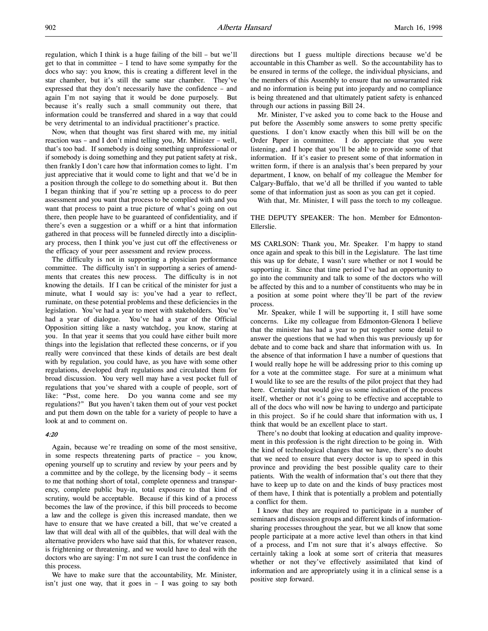regulation, which I think is a huge failing of the bill – but we'll get to that in committee – I tend to have some sympathy for the docs who say: you know, this is creating a different level in the star chamber, but it's still the same star chamber. They've expressed that they don't necessarily have the confidence – and again I'm not saying that it would be done purposely. But because it's really such a small community out there, that information could be transferred and shared in a way that could be very detrimental to an individual practitioner's practice.

Now, when that thought was first shared with me, my initial reaction was – and I don't mind telling you, Mr. Minister – well, that's too bad. If somebody is doing something unprofessional or if somebody is doing something and they put patient safety at risk, then frankly I don't care how that information comes to light. I'm just appreciative that it would come to light and that we'd be in a position through the college to do something about it. But then I began thinking that if you're setting up a process to do peer assessment and you want that process to be complied with and you want that process to paint a true picture of what's going on out there, then people have to be guaranteed of confidentiality, and if there's even a suggestion or a whiff or a hint that information gathered in that process will be funneled directly into a disciplinary process, then I think you've just cut off the effectiveness or the efficacy of your peer assessment and review process.

The difficulty is not in supporting a physician performance committee. The difficulty isn't in supporting a series of amendments that creates this new process. The difficulty is in not knowing the details. If I can be critical of the minister for just a minute, what I would say is: you've had a year to reflect, ruminate, on these potential problems and these deficiencies in the legislation. You've had a year to meet with stakeholders. You've had a year of dialogue. You've had a year of the Official Opposition sitting like a nasty watchdog, you know, staring at you. In that year it seems that you could have either built more things into the legislation that reflected these concerns, or if you really were convinced that these kinds of details are best dealt with by regulation, you could have, as you have with some other regulations, developed draft regulations and circulated them for broad discussion. You very well may have a vest pocket full of regulations that you've shared with a couple of people, sort of like: "Psst, come here. Do you wanna come and see my regulations?" But you haven't taken them out of your vest pocket and put them down on the table for a variety of people to have a look at and to comment on.

## 4:20

Again, because we're treading on some of the most sensitive, in some respects threatening parts of practice – you know, opening yourself up to scrutiny and review by your peers and by a committee and by the college, by the licensing body – it seems to me that nothing short of total, complete openness and transparency, complete public buy-in, total exposure to that kind of scrutiny, would be acceptable. Because if this kind of a process becomes the law of the province, if this bill proceeds to become a law and the college is given this increased mandate, then we have to ensure that we have created a bill, that we've created a law that will deal with all of the quibbles, that will deal with the alternative providers who have said that this, for whatever reason, is frightening or threatening, and we would have to deal with the doctors who are saying: I'm not sure I can trust the confidence in this process.

We have to make sure that the accountability, Mr. Minister, isn't just one way, that it goes in  $-$  I was going to say both directions but I guess multiple directions because we'd be accountable in this Chamber as well. So the accountability has to be ensured in terms of the college, the individual physicians, and the members of this Assembly to ensure that no unwarranted risk and no information is being put into jeopardy and no compliance is being threatened and that ultimately patient safety is enhanced through our actions in passing Bill 24.

Mr. Minister, I've asked you to come back to the House and put before the Assembly some answers to some pretty specific questions. I don't know exactly when this bill will be on the Order Paper in committee. I do appreciate that you were listening, and I hope that you'll be able to provide some of that information. If it's easier to present some of that information in written form, if there is an analysis that's been prepared by your department, I know, on behalf of my colleague the Member for Calgary-Buffalo, that we'd all be thrilled if you wanted to table some of that information just as soon as you can get it copied.

With that, Mr. Minister, I will pass the torch to my colleague.

THE DEPUTY SPEAKER: The hon. Member for Edmonton-Ellerslie.

MS CARLSON: Thank you, Mr. Speaker. I'm happy to stand once again and speak to this bill in the Legislature. The last time this was up for debate, I wasn't sure whether or not I would be supporting it. Since that time period I've had an opportunity to go into the community and talk to some of the doctors who will be affected by this and to a number of constituents who may be in a position at some point where they'll be part of the review process.

Mr. Speaker, while I will be supporting it, I still have some concerns. Like my colleague from Edmonton-Glenora I believe that the minister has had a year to put together some detail to answer the questions that we had when this was previously up for debate and to come back and share that information with us. In the absence of that information I have a number of questions that I would really hope he will be addressing prior to this coming up for a vote at the committee stage. For sure at a minimum what I would like to see are the results of the pilot project that they had here. Certainly that would give us some indication of the process itself, whether or not it's going to be effective and acceptable to all of the docs who will now be having to undergo and participate in this project. So if he could share that information with us, I think that would be an excellent place to start.

There's no doubt that looking at education and quality improvement in this profession is the right direction to be going in. With the kind of technological changes that we have, there's no doubt that we need to ensure that every doctor is up to speed in this province and providing the best possible quality care to their patients. With the wealth of information that's out there that they have to keep up to date on and the kinds of busy practices most of them have, I think that is potentially a problem and potentially a conflict for them.

I know that they are required to participate in a number of seminars and discussion groups and different kinds of informationsharing processes throughout the year, but we all know that some people participate at a more active level than others in that kind of a process, and I'm not sure that it's always effective. So certainly taking a look at some sort of criteria that measures whether or not they've effectively assimilated that kind of information and are appropriately using it in a clinical sense is a positive step forward.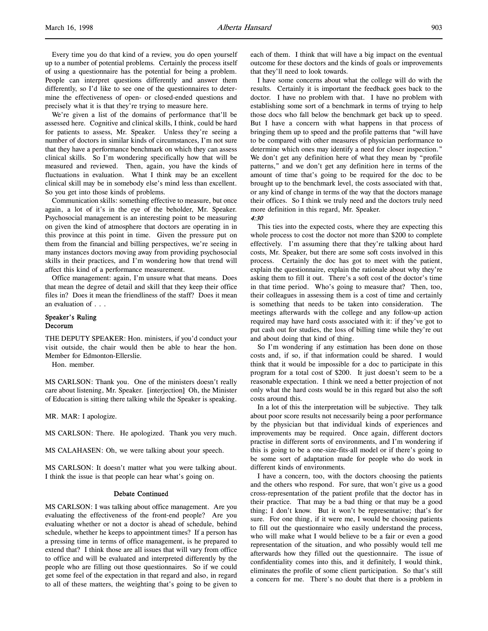Every time you do that kind of a review, you do open yourself up to a number of potential problems. Certainly the process itself of using a questionnaire has the potential for being a problem. People can interpret questions differently and answer them differently, so I'd like to see one of the questionnaires to determine the effectiveness of open- or closed-ended questions and precisely what it is that they're trying to measure here.

We're given a list of the domains of performance that'll be assessed here. Cognitive and clinical skills, I think, could be hard for patients to assess, Mr. Speaker. Unless they're seeing a number of doctors in similar kinds of circumstances, I'm not sure that they have a performance benchmark on which they can assess clinical skills. So I'm wondering specifically how that will be measured and reviewed. Then, again, you have the kinds of fluctuations in evaluation. What I think may be an excellent clinical skill may be in somebody else's mind less than excellent. So you get into those kinds of problems.

Communication skills: something effective to measure, but once again, a lot of it's in the eye of the beholder, Mr. Speaker. Psychosocial management is an interesting point to be measuring on given the kind of atmosphere that doctors are operating in in this province at this point in time. Given the pressure put on them from the financial and billing perspectives, we're seeing in many instances doctors moving away from providing psychosocial skills in their practices, and I'm wondering how that trend will affect this kind of a performance measurement.

Office management: again, I'm unsure what that means. Does that mean the degree of detail and skill that they keep their office files in? Does it mean the friendliness of the staff? Does it mean an evaluation of . . .

## Speaker's Ruling Decorum

THE DEPUTY SPEAKER: Hon. ministers, if you'd conduct your visit outside, the chair would then be able to hear the hon. Member for Edmonton-Ellerslie.

Hon. member.

MS CARLSON: Thank you. One of the ministers doesn't really care about listening, Mr. Speaker. [interjection] Oh, the Minister of Education is sitting there talking while the Speaker is speaking.

MR. MAR: I apologize.

MS CARLSON: There. He apologized. Thank you very much.

MS CALAHASEN: Oh, we were talking about your speech.

MS CARLSON: It doesn't matter what you were talking about. I think the issue is that people can hear what's going on.

#### Debate Continued

MS CARLSON: I was talking about office management. Are you evaluating the effectiveness of the front-end people? Are you evaluating whether or not a doctor is ahead of schedule, behind schedule, whether he keeps to appointment times? If a person has a pressing time in terms of office management, is he prepared to extend that? I think those are all issues that will vary from office to office and will be evaluated and interpreted differently by the people who are filling out those questionnaires. So if we could get some feel of the expectation in that regard and also, in regard to all of these matters, the weighting that's going to be given to

each of them. I think that will have a big impact on the eventual outcome for these doctors and the kinds of goals or improvements that they'll need to look towards.

I have some concerns about what the college will do with the results. Certainly it is important the feedback goes back to the doctor. I have no problem with that. I have no problem with establishing some sort of a benchmark in terms of trying to help those docs who fall below the benchmark get back up to speed. But I have a concern with what happens in that process of bringing them up to speed and the profile patterns that "will have to be compared with other measures of physician performance to determine which ones may identify a need for closer inspection." We don't get any definition here of what they mean by "profile patterns," and we don't get any definition here in terms of the amount of time that's going to be required for the doc to be brought up to the benchmark level, the costs associated with that, or any kind of change in terms of the way that the doctors manage their offices. So I think we truly need and the doctors truly need more definition in this regard, Mr. Speaker.

#### 4:30

This ties into the expected costs, where they are expecting this whole process to cost the doctor not more than \$200 to complete effectively. I'm assuming there that they're talking about hard costs, Mr. Speaker, but there are some soft costs involved in this process. Certainly the doc has got to meet with the patient, explain the questionnaire, explain the rationale about why they're asking them to fill it out. There's a soft cost of the doctor's time in that time period. Who's going to measure that? Then, too, their colleagues in assessing them is a cost of time and certainly is something that needs to be taken into consideration. The meetings afterwards with the college and any follow-up action required may have hard costs associated with it: if they've got to put cash out for studies, the loss of billing time while they're out and about doing that kind of thing.

So I'm wondering if any estimation has been done on those costs and, if so, if that information could be shared. I would think that it would be impossible for a doc to participate in this program for a total cost of \$200. It just doesn't seem to be a reasonable expectation. I think we need a better projection of not only what the hard costs would be in this regard but also the soft costs around this.

In a lot of this the interpretation will be subjective. They talk about poor score results not necessarily being a poor performance by the physician but that individual kinds of experiences and improvements may be required. Once again, different doctors practise in different sorts of environments, and I'm wondering if this is going to be a one-size-fits-all model or if there's going to be some sort of adaptation made for people who do work in different kinds of environments.

I have a concern, too, with the doctors choosing the patients and the others who respond. For sure, that won't give us a good cross-representation of the patient profile that the doctor has in their practice. That may be a bad thing or that may be a good thing; I don't know. But it won't be representative; that's for sure. For one thing, if it were me, I would be choosing patients to fill out the questionnaire who easily understand the process, who will make what I would believe to be a fair or even a good representation of the situation, and who possibly would tell me afterwards how they filled out the questionnaire. The issue of confidentiality comes into this, and it definitely, I would think, eliminates the profile of some client participation. So that's still a concern for me. There's no doubt that there is a problem in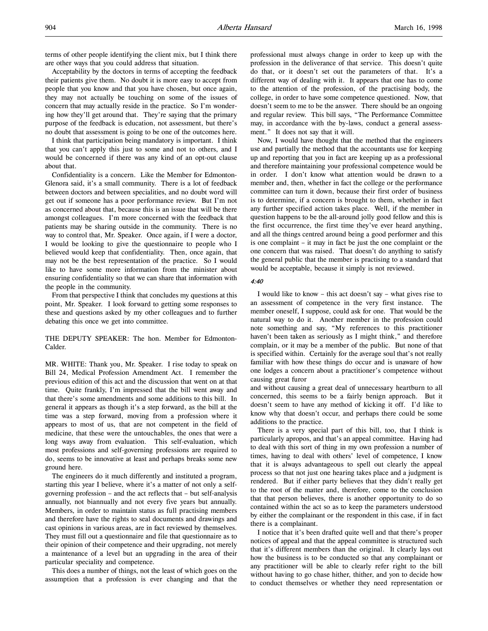terms of other people identifying the client mix, but I think there are other ways that you could address that situation.

Acceptability by the doctors in terms of accepting the feedback their patients give them. No doubt it is more easy to accept from people that you know and that you have chosen, but once again, they may not actually be touching on some of the issues of concern that may actually reside in the practice. So I'm wondering how they'll get around that. They're saying that the primary purpose of the feedback is education, not assessment, but there's no doubt that assessment is going to be one of the outcomes here.

I think that participation being mandatory is important. I think that you can't apply this just to some and not to others, and I would be concerned if there was any kind of an opt-out clause about that.

Confidentiality is a concern. Like the Member for Edmonton-Glenora said, it's a small community. There is a lot of feedback between doctors and between specialities, and no doubt word will get out if someone has a poor performance review. But I'm not as concerned about that, because this is an issue that will be there amongst colleagues. I'm more concerned with the feedback that patients may be sharing outside in the community. There is no way to control that, Mr. Speaker. Once again, if I were a doctor, I would be looking to give the questionnaire to people who I believed would keep that confidentiality. Then, once again, that may not be the best representation of the practice. So I would like to have some more information from the minister about ensuring confidentiality so that we can share that information with the people in the community.

From that perspective I think that concludes my questions at this point, Mr. Speaker. I look forward to getting some responses to these and questions asked by my other colleagues and to further debating this once we get into committee.

THE DEPUTY SPEAKER: The hon. Member for Edmonton-Calder.

MR. WHITE: Thank you, Mr. Speaker. I rise today to speak on Bill 24, Medical Profession Amendment Act. I remember the previous edition of this act and the discussion that went on at that time. Quite frankly, I'm impressed that the bill went away and that there's some amendments and some additions to this bill. In general it appears as though it's a step forward, as the bill at the time was a step forward, moving from a profession where it appears to most of us, that are not competent in the field of medicine, that these were the untouchables, the ones that were a long ways away from evaluation. This self-evaluation, which most professions and self-governing professions are required to do, seems to be innovative at least and perhaps breaks some new ground here.

The engineers do it much differently and instituted a program, starting this year I believe, where it's a matter of not only a selfgoverning profession – and the act reflects that – but self-analysis annually, not biannually and not every five years but annually. Members, in order to maintain status as full practising members and therefore have the rights to seal documents and drawings and cast opinions in various areas, are in fact reviewed by themselves. They must fill out a questionnaire and file that questionnaire as to their opinion of their competence and their upgrading, not merely a maintenance of a level but an upgrading in the area of their particular speciality and competence.

This does a number of things, not the least of which goes on the assumption that a profession is ever changing and that the

professional must always change in order to keep up with the profession in the deliverance of that service. This doesn't quite do that, or it doesn't set out the parameters of that. It's a different way of dealing with it. It appears that one has to come to the attention of the profession, of the practising body, the college, in order to have some competence questioned. Now, that doesn't seem to me to be the answer. There should be an ongoing and regular review. This bill says, "The Performance Committee may, in accordance with the by-laws, conduct a general assessment." It does not say that it will.

Now, I would have thought that the method that the engineers use and partially the method that the accountants use for keeping up and reporting that you in fact are keeping up as a professional and therefore maintaining your professional competence would be in order. I don't know what attention would be drawn to a member and, then, whether in fact the college or the performance committee can turn it down, because their first order of business is to determine, if a concern is brought to them, whether in fact any further specified action takes place. Well, if the member in question happens to be the all-around jolly good fellow and this is the first occurrence, the first time they've ever heard anything, and all the things centred around being a good performer and this is one complaint – it may in fact be just the one complaint or the one concern that was raised. That doesn't do anything to satisfy the general public that the member is practising to a standard that would be acceptable, because it simply is not reviewed.

#### 4:40

I would like to know – this act doesn't say – what gives rise to an assessment of competence in the very first instance. The member oneself, I suppose, could ask for one. That would be the natural way to do it. Another member in the profession could note something and say, "My references to this practitioner haven't been taken as seriously as I might think," and therefore complain, or it may be a member of the public. But none of that is specified within. Certainly for the average soul that's not really familiar with how these things do occur and is unaware of how one lodges a concern about a practitioner's competence without causing great furor

and without causing a great deal of unnecessary heartburn to all concerned, this seems to be a fairly benign approach. But it doesn't seem to have any method of kicking it off. I'd like to know why that doesn't occur, and perhaps there could be some additions to the practice.

There is a very special part of this bill, too, that I think is particularly apropos, and that's an appeal committee. Having had to deal with this sort of thing in my own profession a number of times, having to deal with others' level of competence, I know that it is always advantageous to spell out clearly the appeal process so that not just one hearing takes place and a judgment is rendered. But if either party believes that they didn't really get to the root of the matter and, therefore, come to the conclusion that that person believes, there is another opportunity to do so contained within the act so as to keep the parameters understood by either the complainant or the respondent in this case, if in fact there is a complainant.

I notice that it's been drafted quite well and that there's proper notices of appeal and that the appeal committee is structured such that it's different members than the original. It clearly lays out how the business is to be conducted so that any complainant or any practitioner will be able to clearly refer right to the bill without having to go chase hither, thither, and yon to decide how to conduct themselves or whether they need representation or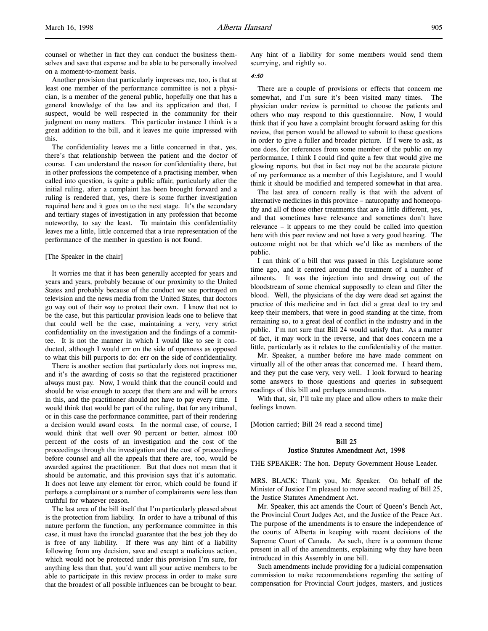Another provision that particularly impresses me, too, is that at least one member of the performance committee is not a physician, is a member of the general public, hopefully one that has a general knowledge of the law and its application and that, I suspect, would be well respected in the community for their judgment on many matters. This particular instance I think is a great addition to the bill, and it leaves me quite impressed with this.

The confidentiality leaves me a little concerned in that, yes, there's that relationship between the patient and the doctor of course. I can understand the reason for confidentiality there, but in other professions the competence of a practising member, when called into question, is quite a public affair, particularly after the initial ruling, after a complaint has been brought forward and a ruling is rendered that, yes, there is some further investigation required here and it goes on to the next stage. It's the secondary and tertiary stages of investigation in any profession that become noteworthy, to say the least. To maintain this confidentiality leaves me a little, little concerned that a true representation of the performance of the member in question is not found.

## [The Speaker in the chair]

It worries me that it has been generally accepted for years and years and years, probably because of our proximity to the United States and probably because of the conduct we see portrayed on television and the news media from the United States, that doctors go way out of their way to protect their own. I know that not to be the case, but this particular provision leads one to believe that that could well be the case, maintaining a very, very strict confidentiality on the investigation and the findings of a committee. It is not the manner in which I would like to see it conducted, although I would err on the side of openness as opposed to what this bill purports to do: err on the side of confidentiality.

There is another section that particularly does not impress me, and it's the awarding of costs so that the registered practitioner always must pay. Now, I would think that the council could and should be wise enough to accept that there are and will be errors in this, and the practitioner should not have to pay every time. I would think that would be part of the ruling, that for any tribunal, or in this case the performance committee, part of their rendering a decision would award costs. In the normal case, of course, I would think that well over 90 percent or better, almost 100 percent of the costs of an investigation and the cost of the proceedings through the investigation and the cost of proceedings before counsel and all the appeals that there are, too, would be awarded against the practitioner. But that does not mean that it should be automatic, and this provision says that it's automatic. It does not leave any element for error, which could be found if perhaps a complainant or a number of complainants were less than truthful for whatever reason.

The last area of the bill itself that I'm particularly pleased about is the protection from liability. In order to have a tribunal of this nature perform the function, any performance committee in this case, it must have the ironclad guarantee that the best job they do is free of any liability. If there was any hint of a liability following from any decision, save and except a malicious action, which would not be protected under this provision I'm sure, for anything less than that, you'd want all your active members to be able to participate in this review process in order to make sure that the broadest of all possible influences can be brought to bear.

Any hint of a liability for some members would send them scurrying, and rightly so.

#### 4:50

There are a couple of provisions or effects that concern me somewhat, and I'm sure it's been visited many times. The physician under review is permitted to choose the patients and others who may respond to this questionnaire. Now, I would think that if you have a complaint brought forward asking for this review, that person would be allowed to submit to these questions in order to give a fuller and broader picture. If I were to ask, as one does, for references from some member of the public on my performance, I think I could find quite a few that would give me glowing reports, but that in fact may not be the accurate picture of my performance as a member of this Legislature, and I would think it should be modified and tempered somewhat in that area.

The last area of concern really is that with the advent of alternative medicines in this province – naturopathy and homeopathy and all of those other treatments that are a little different, yes, and that sometimes have relevance and sometimes don't have relevance – it appears to me they could be called into question here with this peer review and not have a very good hearing. The outcome might not be that which we'd like as members of the public.

I can think of a bill that was passed in this Legislature some time ago, and it centred around the treatment of a number of ailments. It was the injection into and drawing out of the bloodstream of some chemical supposedly to clean and filter the blood. Well, the physicians of the day were dead set against the practice of this medicine and in fact did a great deal to try and keep their members, that were in good standing at the time, from remaining so, to a great deal of conflict in the industry and in the public. I'm not sure that Bill 24 would satisfy that. As a matter of fact, it may work in the reverse, and that does concern me a little, particularly as it relates to the confidentiality of the matter.

Mr. Speaker, a number before me have made comment on virtually all of the other areas that concerned me. I heard them, and they put the case very, very well. I look forward to hearing some answers to those questions and queries in subsequent readings of this bill and perhaps amendments.

With that, sir, I'll take my place and allow others to make their feelings known.

[Motion carried; Bill 24 read a second time]

# Bill 25

## Justice Statutes Amendment Act, 1998

THE SPEAKER: The hon. Deputy Government House Leader.

MRS. BLACK: Thank you, Mr. Speaker. On behalf of the Minister of Justice I'm pleased to move second reading of Bill 25, the Justice Statutes Amendment Act.

Mr. Speaker, this act amends the Court of Queen's Bench Act, the Provincial Court Judges Act, and the Justice of the Peace Act. The purpose of the amendments is to ensure the independence of the courts of Alberta in keeping with recent decisions of the Supreme Court of Canada. As such, there is a common theme present in all of the amendments, explaining why they have been introduced in this Assembly in one bill.

Such amendments include providing for a judicial compensation commission to make recommendations regarding the setting of compensation for Provincial Court judges, masters, and justices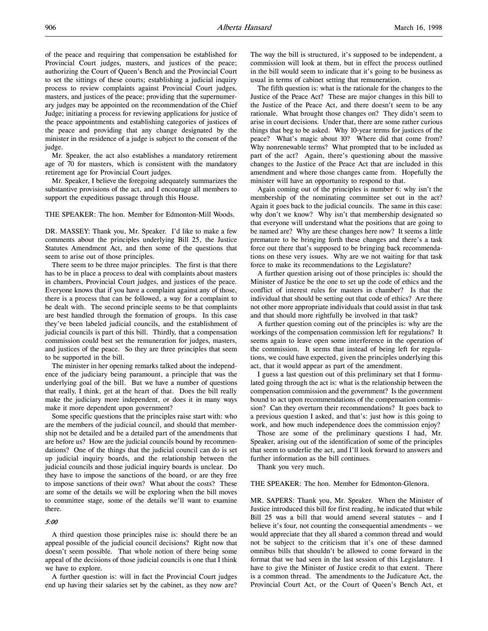of the peace and requiring that compensation be established for Provincial Court judges, masters, and justices of the peace; authorizing the Court of Queen's Bench and the Provincial Court to set the sittings of these courts; establishing a judicial inquiry process to review complaints against Provincial Court judges, masters, and justices of the peace; providing that the supernumerary judges may be appointed on the recommendation of the Chief Judge; initiating a process for reviewing applications for justice of the peace appointments and establishing categories of justices of the peace and providing that any change designated by the minister in the residence of a judge is subject to the consent of the judge.

Mr. Speaker, the act also establishes a mandatory retirement age of 70 for masters, which is consistent with the mandatory retirement age for Provincial Court judges.

Mr. Speaker, I believe the foregoing adequately summarizes the substantive provisions of the act, and I encourage all members to support the expeditious passage through this House.

THE SPEAKER: The hon. Member for Edmonton-Mill Woods.

DR. MASSEY: Thank you, Mr. Speaker. I'd like to make a few comments about the principles underlying Bill 25, the Justice Statutes Amendment Act, and then some of the questions that seem to arise out of those principles.

There seem to be three major principles. The first is that there has to be in place a process to deal with complaints about masters in chambers, Provincial Court judges, and justices of the peace. Everyone knows that if you have a complaint against any of those, there is a process that can be followed, a way for a complaint to be dealt with. The second principle seems to be that complaints are best handled through the formation of groups. In this case they've been labeled judicial councils, and the establishment of judicial councils is part of this bill. Thirdly, that a compensation commission could best set the remuneration for judges, masters, and justices of the peace. So they are three principles that seem to be supported in the bill.

The minister in her opening remarks talked about the independence of the judiciary being paramount, a principle that was the underlying goal of the bill. But we have a number of questions that really, I think, get at the heart of that. Does the bill really make the judiciary more independent, or does it in many ways make it more dependent upon government?

Some specific questions that the principles raise start with: who are the members of the judicial council, and should that membership not be detailed and be a detailed part of the amendments that are before us? How are the judicial councils bound by recommendations? One of the things that the judicial council can do is set up judicial inquiry boards, and the relationship between the judicial councils and those judicial inquiry boards is unclear. Do they have to impose the sanctions of the board, or are they free to impose sanctions of their own? What about the costs? These are some of the details we will be exploring when the bill moves to committee stage, some of the details we'll want to examine there.

## 5:00

A third question those principles raise is: should there be an appeal possible of the judicial council decisions? Right now that doesn't seem possible. That whole notion of there being some appeal of the decisions of those judicial councils is one that I think we have to explore.

A further question is: will in fact the Provincial Court judges end up having their salaries set by the cabinet, as they now are?

The way the bill is structured, it's supposed to be independent, a commission will look at them, but in effect the process outlined in the bill would seem to indicate that it's going to be business as usual in terms of cabinet setting that remuneration.

The fifth question is: what is the rationale for the changes to the Justice of the Peace Act? These are major changes in this bill to the Justice of the Peace Act, and there doesn't seem to be any rationale. What brought those changes on? They didn't seem to arise in court decisions. Under that, there are some rather curious things that beg to be asked. Why 10-year terms for justices of the peace? What's magic about 10? Where did that come from? Why nonrenewable terms? What prompted that to be included as part of the act? Again, there's questioning about the massive changes to the Justice of the Peace Act that are included in this amendment and where those changes came from. Hopefully the minister will have an opportunity to respond to that.

Again coming out of the principles is number 6: why isn't the membership of the nominating committee set out in the act? Again it goes back to the judicial councils. The same in this case: why don't we know? Why isn't that membership designated so that everyone will understand what the positions that are going to be named are? Why are these changes here now? It seems a little premature to be bringing forth these changes and there's a task force out there that's supposed to be bringing back recommendations on these very issues. Why are we not waiting for that task force to make its recommendations to the Legislature?

A further question arising out of those principles is: should the Minister of Justice be the one to set up the code of ethics and the conflict of interest rules for masters in chamber? Is that the individual that should be setting out that code of ethics? Are there not other more appropriate individuals that could assist in that task and that should more rightfully be involved in that task?

A further question coming out of the principles is: why are the workings of the compensation commission left for regulations? It seems again to leave open some interference in the operation of the commission. It seems that instead of being left for regulations, we could have expected, given the principles underlying this act, that it would appear as part of the amendment.

I guess a last question out of this preliminary set that I formulated going through the act is: what is the relationship between the compensation commission and the government? Is the government bound to act upon recommendations of the compensation commission? Can they overturn their recommendations? It goes back to a previous question I asked, and that's: just how is this going to work, and how much independence does the commission enjoy?

Those are some of the preliminary questions I had, Mr. Speaker, arising out of the identification of some of the principles that seem to underlie the act, and I'll look forward to answers and further information as the bill continues.

Thank you very much.

THE SPEAKER: The hon. Member for Edmonton-Glenora.

MR. SAPERS: Thank you, Mr. Speaker. When the Minister of Justice introduced this bill for first reading, he indicated that while Bill 25 was a bill that would amend several statutes – and I believe it's four, not counting the consequential amendments – we would appreciate that they all shared a common thread and would not be subject to the criticism that it's one of these damned omnibus bills that shouldn't be allowed to come forward in the format that we had seen in the last session of this Legislature. I have to give the Minister of Justice credit to that extent. There is a common thread. The amendments to the Judicature Act, the Provincial Court Act, or the Court of Queen's Bench Act, et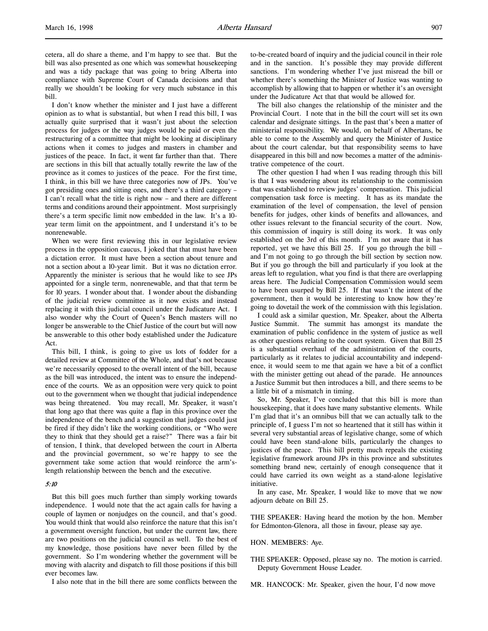I don't know whether the minister and I just have a different opinion as to what is substantial, but when I read this bill, I was actually quite surprised that it wasn't just about the selection process for judges or the way judges would be paid or even the restructuring of a committee that might be looking at disciplinary actions when it comes to judges and masters in chamber and justices of the peace. In fact, it went far further than that. There are sections in this bill that actually totally rewrite the law of the province as it comes to justices of the peace. For the first time, I think, in this bill we have three categories now of JPs. You've got presiding ones and sitting ones, and there's a third category – I can't recall what the title is right now – and there are different terms and conditions around their appointment. Most surprisingly there's a term specific limit now embedded in the law. It's a 10 year term limit on the appointment, and I understand it's to be nonrenewable.

When we were first reviewing this in our legislative review process in the opposition caucus, I joked that that must have been a dictation error. It must have been a section about tenure and not a section about a 10-year limit. But it was no dictation error. Apparently the minister is serious that he would like to see JPs appointed for a single term, nonrenewable, and that that term be for 10 years. I wonder about that. I wonder about the disbanding of the judicial review committee as it now exists and instead replacing it with this judicial council under the Judicature Act. I also wonder why the Court of Queen's Bench masters will no longer be answerable to the Chief Justice of the court but will now be answerable to this other body established under the Judicature Act.

This bill, I think, is going to give us lots of fodder for a detailed review at Committee of the Whole, and that's not because we're necessarily opposed to the overall intent of the bill, because as the bill was introduced, the intent was to ensure the independence of the courts. We as an opposition were very quick to point out to the government when we thought that judicial independence was being threatened. You may recall, Mr. Speaker, it wasn't that long ago that there was quite a flap in this province over the independence of the bench and a suggestion that judges could just be fired if they didn't like the working conditions, or "Who were they to think that they should get a raise?" There was a fair bit of tension, I think, that developed between the court in Alberta and the provincial government, so we're happy to see the government take some action that would reinforce the arm'slength relationship between the bench and the executive.

#### 5:10

But this bill goes much further than simply working towards independence. I would note that the act again calls for having a couple of laymen or nonjudges on the council, and that's good. You would think that would also reinforce the nature that this isn't a government oversight function, but under the current law, there are two positions on the judicial council as well. To the best of my knowledge, those positions have never been filled by the government. So I'm wondering whether the government will be moving with alacrity and dispatch to fill those positions if this bill ever becomes law.

I also note that in the bill there are some conflicts between the

to-be-created board of inquiry and the judicial council in their role and in the sanction. It's possible they may provide different sanctions. I'm wondering whether I've just misread the bill or whether there's something the Minister of Justice was wanting to accomplish by allowing that to happen or whether it's an oversight under the Judicature Act that that would be allowed for.

The bill also changes the relationship of the minister and the Provincial Court. I note that in the bill the court will set its own calendar and designate sittings. In the past that's been a matter of ministerial responsibility. We would, on behalf of Albertans, be able to come to the Assembly and query the Minister of Justice about the court calendar, but that responsibility seems to have disappeared in this bill and now becomes a matter of the administrative competence of the court.

The other question I had when I was reading through this bill is that I was wondering about its relationship to the commission that was established to review judges' compensation. This judicial compensation task force is meeting. It has as its mandate the examination of the level of compensation, the level of pension benefits for judges, other kinds of benefits and allowances, and other issues relevant to the financial security of the court. Now, this commission of inquiry is still doing its work. It was only established on the 3rd of this month. I'm not aware that it has reported, yet we have this Bill 25. If you go through the bill – and I'm not going to go through the bill section by section now. But if you go through the bill and particularly if you look at the areas left to regulation, what you find is that there are overlapping areas here. The Judicial Compensation Commission would seem to have been usurped by Bill 25. If that wasn't the intent of the government, then it would be interesting to know how they're going to dovetail the work of the commission with this legislation.

I could ask a similar question, Mr. Speaker, about the Alberta Justice Summit. The summit has amongst its mandate the examination of public confidence in the system of justice as well as other questions relating to the court system. Given that Bill 25 is a substantial overhaul of the administration of the courts, particularly as it relates to judicial accountability and independence, it would seem to me that again we have a bit of a conflict with the minister getting out ahead of the parade. He announces a Justice Summit but then introduces a bill, and there seems to be a little bit of a mismatch in timing.

So, Mr. Speaker, I've concluded that this bill is more than housekeeping, that it does have many substantive elements. While I'm glad that it's an omnibus bill that we can actually talk to the principle of, I guess I'm not so heartened that it still has within it several very substantial areas of legislative change, some of which could have been stand-alone bills, particularly the changes to justices of the peace. This bill pretty much repeals the existing legislative framework around JPs in this province and substitutes something brand new, certainly of enough consequence that it could have carried its own weight as a stand-alone legislative initiative.

In any case, Mr. Speaker, I would like to move that we now adjourn debate on Bill 25.

THE SPEAKER: Having heard the motion by the hon. Member for Edmonton-Glenora, all those in favour, please say aye.

#### HON. MEMBERS: Aye.

THE SPEAKER: Opposed, please say no. The motion is carried. Deputy Government House Leader.